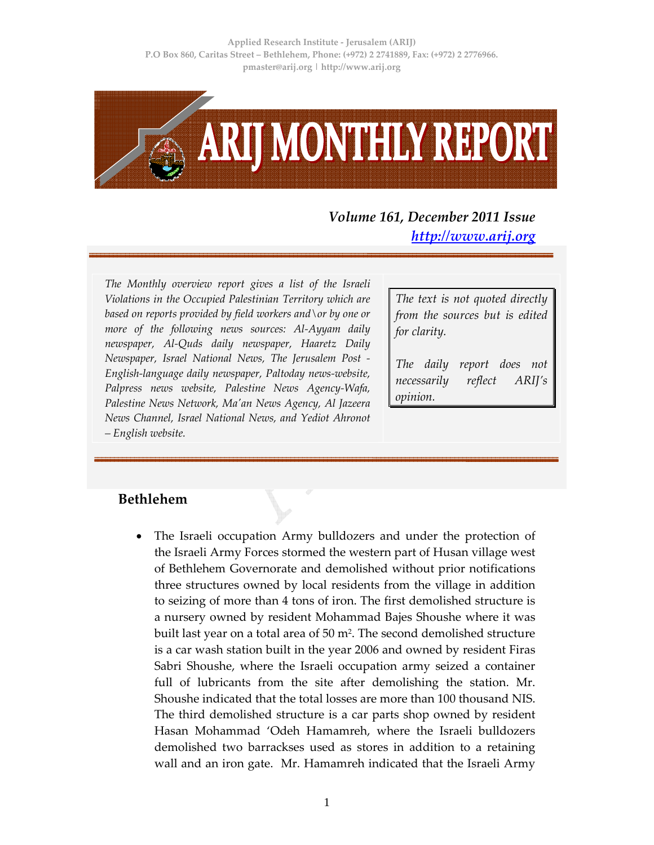

# *Volume 161, December 2011 Issue http://www.arij.org*

*The Monthly overview report gives a list of the Israeli Violations in the Occupied Palestinian Territory which are based on reports provided by field workers and\or by one or more of the following news sources: Al‐Ayyam daily newspaper, Al‐Quds daily newspaper, Haaretz Daily Newspaper, Israel National News, The Jerusalem Post ‐ English‐language daily newspaper, Paltoday news‐website, Palpress news website, Palestine News Agency‐Wafa, Palestine News Network, Maʹan News Agency, Al Jazeera News Channel, Israel National News, and Yediot Ahronot – English website.*

*The text is not quoted directly from the sources but is edited for clarity.*

*The daily report does not necessarily reflect ARIJ's opinion.*

#### **Bethlehem**

The Israeli occupation Army bulldozers and under the protection of the Israeli Army Forces stormed the western part of Husan village west of Bethlehem Governorate and demolished without prior notifications three structures owned by local residents from the village in addition to seizing of more than 4 tons of iron. The first demolished structure is a nursery owned by resident Mohammad Bajes Shoushe where it was built last year on a total area of 50 m<sup>2</sup>. The second demolished structure is a car wash station built in the year 2006 and owned by resident Firas Sabri Shoushe, where the Israeli occupation army seized a container full of lubricants from the site after demolishing the station. Mr. Shoushe indicated that the total losses are more than 100 thousand NIS. The third demolished structure is a car parts shop owned by resident Hasan Mohammad 'Odeh Hamamreh, where the Israeli bulldozers demolished two barrackses used as stores in addition to a retaining wall and an iron gate. Mr. Hamamreh indicated that the Israeli Army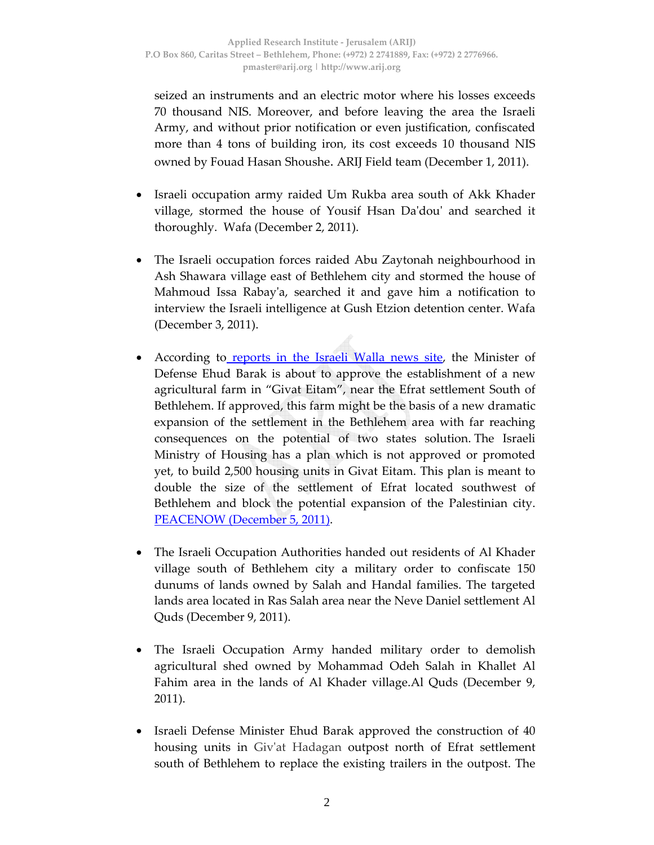seized an instruments and an electric motor where his losses exceeds 70 thousand NIS. Moreover, and before leaving the area the Israeli Army, and without prior notification or even justification, confiscated more than 4 tons of building iron, its cost exceeds 10 thousand NIS owned by Fouad Hasan Shoushe. ARIJ Field team (December 1, 2011).

- Israeli occupation army raided Um Rukba area south of Akk Khader village, stormed the house of Yousif Hsan Daʹdouʹ and searched it thoroughly. Wafa (December 2, 2011).
- The Israeli occupation forces raided Abu Zaytonah neighbourhood in Ash Shawara village east of Bethlehem city and stormed the house of Mahmoud Issa Rabayʹa, searched it and gave him a notification to interview the Israeli intelligence at Gush Etzion detention center. Wafa (December 3, 2011).
- According to reports in the Israeli Walla news site, the Minister of Defense Ehud Barak is about to approve the establishment of a new agricultural farm in "Givat Eitam", near the Efrat settlement South of Bethlehem. If approved, this farm might be the basis of a new dramatic expansion of the settlement in the Bethlehem area with far reaching consequences on the potential of two states solution. The Israeli Ministry of Housing has a plan which is not approved or promoted yet, to build 2,500 housing units in Givat Eitam. This plan is meant to double the size of the settlement of Efrat located southwest of Bethlehem and block the potential expansion of the Palestinian city. PEACENOW (December 5, 2011).
- The Israeli Occupation Authorities handed out residents of Al Khader village south of Bethlehem city a military order to confiscate 150 dunums of lands owned by Salah and Handal families. The targeted lands area located in Ras Salah area near the Neve Daniel settlement Al Quds (December 9, 2011).
- The Israeli Occupation Army handed military order to demolish agricultural shed owned by Mohammad Odeh Salah in Khallet Al Fahim area in the lands of Al Khader village.Al Quds (December 9, 2011).
- Israeli Defense Minister Ehud Barak approved the construction of 40 housing units in Givʹat Hadagan outpost north of Efrat settlement south of Bethlehem to replace the existing trailers in the outpost. The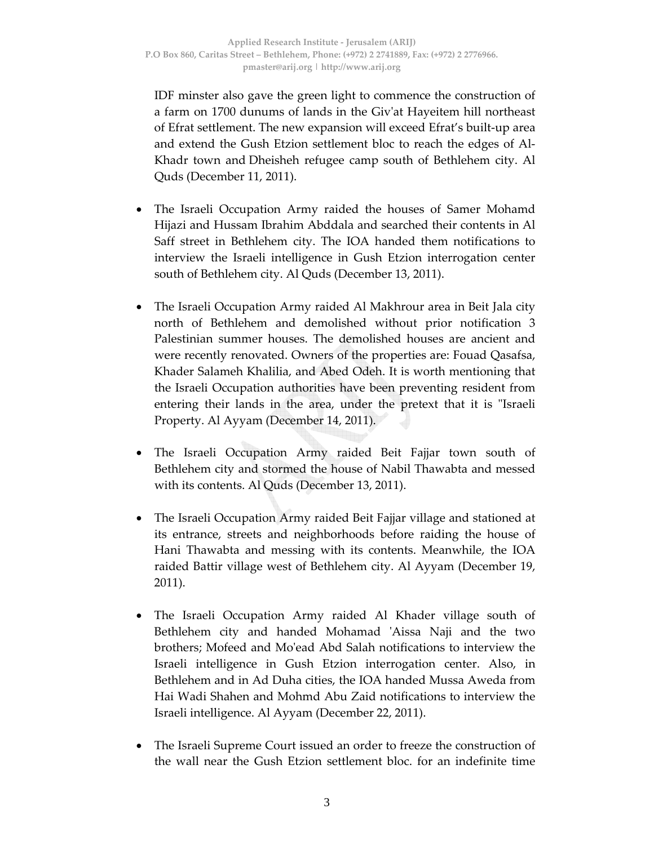IDF minster also gave the green light to commence the construction of a farm on 1700 dunums of lands in the Givʹat Hayeitem hill northeast of Efrat settlement. The new expansion will exceed Efrat's built‐up area and extend the Gush Etzion settlement bloc to reach the edges of Al‐ Khadr town and Dheisheh refugee camp south of Bethlehem city. Al Quds (December 11, 2011).

- The Israeli Occupation Army raided the houses of Samer Mohamd Hijazi and Hussam Ibrahim Abddala and searched their contents in Al Saff street in Bethlehem city. The IOA handed them notifications to interview the Israeli intelligence in Gush Etzion interrogation center south of Bethlehem city. Al Quds (December 13, 2011).
- The Israeli Occupation Army raided Al Makhrour area in Beit Jala city north of Bethlehem and demolished without prior notification 3 Palestinian summer houses. The demolished houses are ancient and were recently renovated. Owners of the properties are: Fouad Qasafsa, Khader Salameh Khalilia, and Abed Odeh. It is worth mentioning that the Israeli Occupation authorities have been preventing resident from entering their lands in the area, under the pretext that it is "Israeli Property. Al Ayyam (December 14, 2011).
- The Israeli Occupation Army raided Beit Fajjar town south of Bethlehem city and stormed the house of Nabil Thawabta and messed with its contents. Al Quds (December 13, 2011).
- The Israeli Occupation Army raided Beit Fajjar village and stationed at its entrance, streets and neighborhoods before raiding the house of Hani Thawabta and messing with its contents. Meanwhile, the IOA raided Battir village west of Bethlehem city. Al Ayyam (December 19, 2011).
- The Israeli Occupation Army raided Al Khader village south of Bethlehem city and handed Mohamad ʹAissa Naji and the two brothers; Mofeed and Moʹead Abd Salah notifications to interview the Israeli intelligence in Gush Etzion interrogation center. Also, in Bethlehem and in Ad Duha cities, the IOA handed Mussa Aweda from Hai Wadi Shahen and Mohmd Abu Zaid notifications to interview the Israeli intelligence. Al Ayyam (December 22, 2011).
- The Israeli Supreme Court issued an order to freeze the construction of the wall near the Gush Etzion settlement bloc. for an indefinite time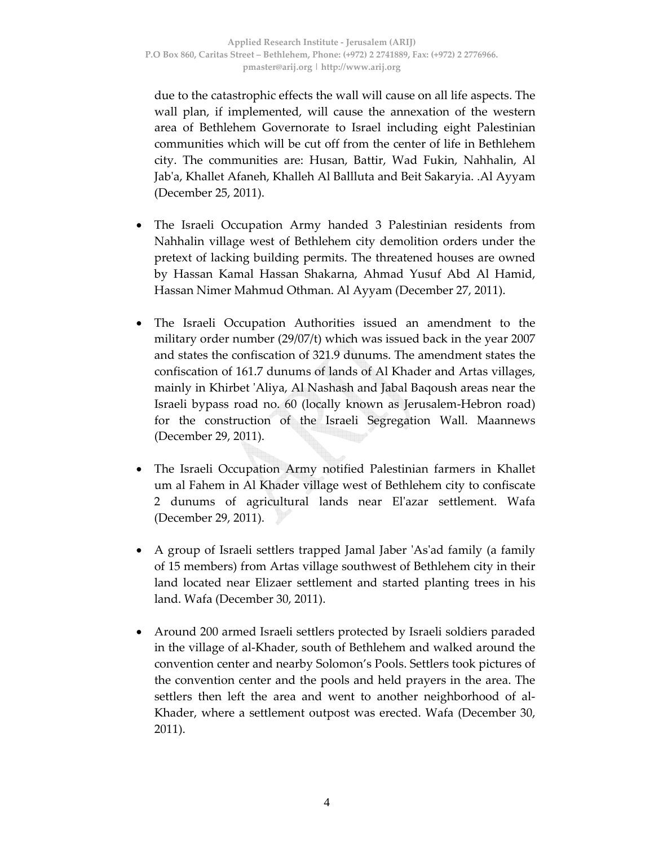due to the catastrophic effects the wall will cause on all life aspects. The wall plan, if implemented, will cause the annexation of the western area of Bethlehem Governorate to Israel including eight Palestinian communities which will be cut off from the center of life in Bethlehem city. The communities are: Husan, Battir, Wad Fukin, Nahhalin, Al Jabʹa, Khallet Afaneh, Khalleh Al Ballluta and Beit Sakaryia. .Al Ayyam (December 25, 2011).

- The Israeli Occupation Army handed 3 Palestinian residents from Nahhalin village west of Bethlehem city demolition orders under the pretext of lacking building permits. The threatened houses are owned by Hassan Kamal Hassan Shakarna, Ahmad Yusuf Abd Al Hamid, Hassan Nimer Mahmud Othman. Al Ayyam (December 27, 2011).
- The Israeli Occupation Authorities issued an amendment to the military order number (29/07/t) which was issued back in the year 2007 and states the confiscation of 321.9 dunums. The amendment states the confiscation of 161.7 dunums of lands of Al Khader and Artas villages, mainly in Khirbet 'Aliya, Al Nashash and Jabal Baqoush areas near the Israeli bypass road no. 60 (locally known as Jerusalem‐Hebron road) for the construction of the Israeli Segregation Wall. Maannews (December 29, 2011).
- The Israeli Occupation Army notified Palestinian farmers in Khallet um al Fahem in Al Khader village west of Bethlehem city to confiscate 2 dunums of agricultural lands near Elʹazar settlement. Wafa (December 29, 2011).
- A group of Israeli settlers trapped Jamal Jaber 'As'ad family (a family of 15 members) from Artas village southwest of Bethlehem city in their land located near Elizaer settlement and started planting trees in his land. Wafa (December 30, 2011).
- Around 200 armed Israeli settlers protected by Israeli soldiers paraded in the village of al‐Khader, south of Bethlehem and walked around the convention center and nearby Solomon's Pools. Settlers took pictures of the convention center and the pools and held prayers in the area. The settlers then left the area and went to another neighborhood of al‐ Khader, where a settlement outpost was erected. Wafa (December 30, 2011).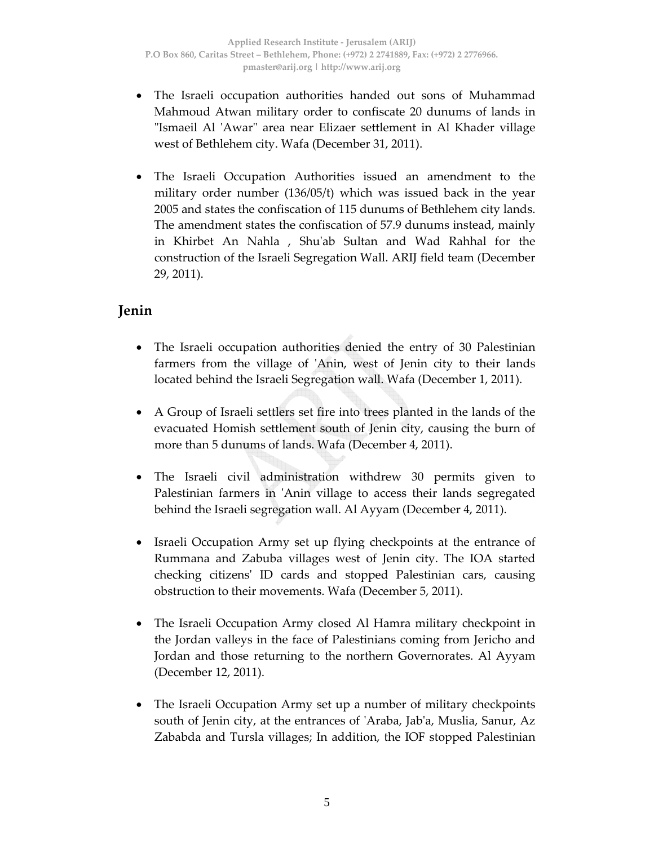- The Israeli occupation authorities handed out sons of Muhammad Mahmoud Atwan military order to confiscate 20 dunums of lands in "Ismaeil Al 'Awar" area near Elizaer settlement in Al Khader village west of Bethlehem city. Wafa (December 31, 2011).
- The Israeli Occupation Authorities issued an amendment to the military order number (136/05/t) which was issued back in the year 2005 and states the confiscation of 115 dunums of Bethlehem city lands. The amendment states the confiscation of 57.9 dunums instead, mainly in Khirbet An Nahla , Shuʹab Sultan and Wad Rahhal for the construction of the Israeli Segregation Wall. ARIJ field team (December 29, 2011).

## **Jenin**

- The Israeli occupation authorities denied the entry of 30 Palestinian farmers from the village of 'Anin, west of Jenin city to their lands located behind the Israeli Segregation wall. Wafa (December 1, 2011).
- A Group of Israeli settlers set fire into trees planted in the lands of the evacuated Homish settlement south of Jenin city, causing the burn of more than 5 dunums of lands. Wafa (December 4, 2011).
- The Israeli civil administration withdrew 30 permits given to Palestinian farmers in 'Anin village to access their lands segregated behind the Israeli segregation wall. Al Ayyam (December 4, 2011).
- Israeli Occupation Army set up flying checkpoints at the entrance of Rummana and Zabuba villages west of Jenin city. The IOA started checking citizensʹ ID cards and stopped Palestinian cars, causing obstruction to their movements. Wafa (December 5, 2011).
- The Israeli Occupation Army closed Al Hamra military checkpoint in the Jordan valleys in the face of Palestinians coming from Jericho and Jordan and those returning to the northern Governorates. Al Ayyam (December 12, 2011).
- The Israeli Occupation Army set up a number of military checkpoints south of Jenin city, at the entrances of ʹAraba, Jabʹa, Muslia, Sanur, Az Zababda and Tursla villages; In addition, the IOF stopped Palestinian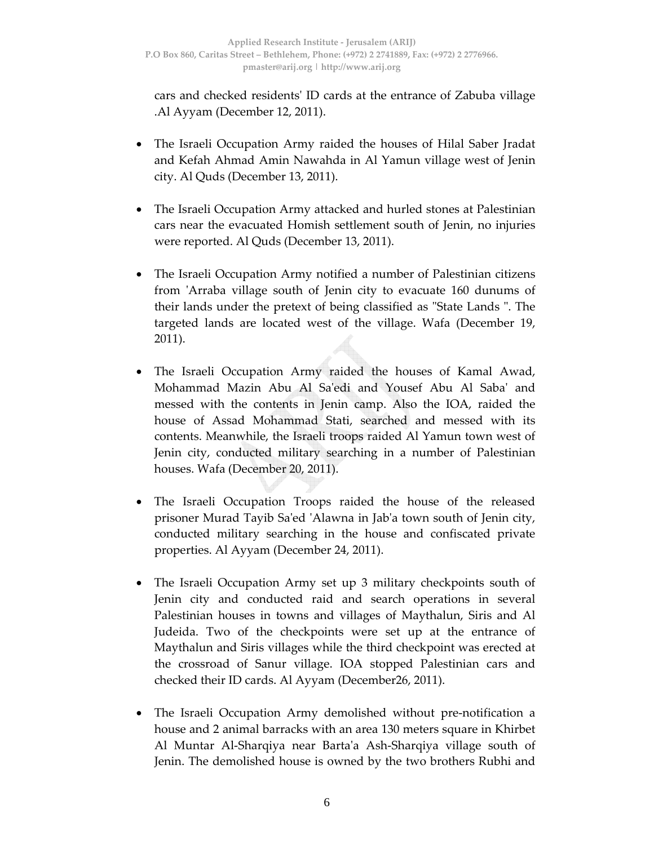cars and checked residentsʹ ID cards at the entrance of Zabuba village .Al Ayyam (December 12, 2011).

- The Israeli Occupation Army raided the houses of Hilal Saber Jradat and Kefah Ahmad Amin Nawahda in Al Yamun village west of Jenin city. Al Quds (December 13, 2011).
- The Israeli Occupation Army attacked and hurled stones at Palestinian cars near the evacuated Homish settlement south of Jenin, no injuries were reported. Al Quds (December 13, 2011).
- The Israeli Occupation Army notified a number of Palestinian citizens from ʹArraba village south of Jenin city to evacuate 160 dunums of their lands under the pretext of being classified as "State Lands". The targeted lands are located west of the village. Wafa (December 19, 2011).
- The Israeli Occupation Army raided the houses of Kamal Awad, Mohammad Mazin Abu Al Saʹedi and Yousef Abu Al Sabaʹ and messed with the contents in Jenin camp. Also the IOA, raided the house of Assad Mohammad Stati, searched and messed with its contents. Meanwhile, the Israeli troops raided Al Yamun town west of Jenin city, conducted military searching in a number of Palestinian houses. Wafa (December 20, 2011).
- The Israeli Occupation Troops raided the house of the released prisoner Murad Tayib Saʹed ʹAlawna in Jabʹa town south of Jenin city, conducted military searching in the house and confiscated private properties. Al Ayyam (December 24, 2011).
- The Israeli Occupation Army set up 3 military checkpoints south of Jenin city and conducted raid and search operations in several Palestinian houses in towns and villages of Maythalun, Siris and Al Judeida. Two of the checkpoints were set up at the entrance of Maythalun and Siris villages while the third checkpoint was erected at the crossroad of Sanur village. IOA stopped Palestinian cars and checked their ID cards. Al Ayyam (December26, 2011).
- The Israeli Occupation Army demolished without pre-notification a house and 2 animal barracks with an area 130 meters square in Khirbet Al Muntar Al‐Sharqiya near Bartaʹa Ash‐Sharqiya village south of Jenin. The demolished house is owned by the two brothers Rubhi and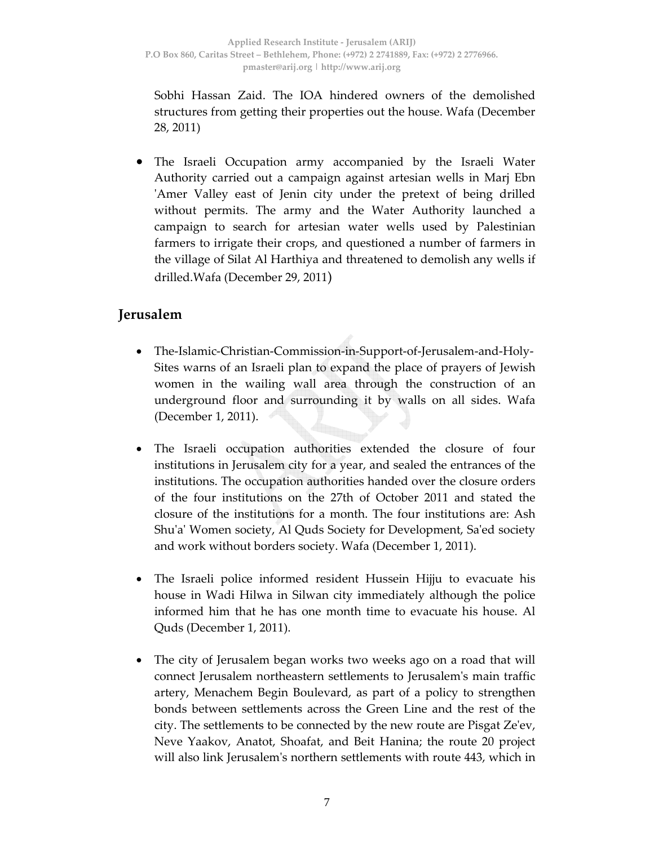Sobhi Hassan Zaid. The IOA hindered owners of the demolished structures from getting their properties out the house. Wafa (December 28, 2011)

• The Israeli Occupation army accompanied by the Israeli Water Authority carried out a campaign against artesian wells in Marj Ebn ʹAmer Valley east of Jenin city under the pretext of being drilled without permits. The army and the Water Authority launched a campaign to search for artesian water wells used by Palestinian farmers to irrigate their crops, and questioned a number of farmers in the village of Silat Al Harthiya and threatened to demolish any wells if drilled.Wafa (December 29, 2011)

### **Jerusalem**

- The‐Islamic‐Christian‐Commission‐in‐Support‐of‐Jerusalem‐and‐Holy‐ Sites warns of an Israeli plan to expand the place of prayers of Jewish women in the wailing wall area through the construction of an underground floor and surrounding it by walls on all sides. Wafa (December 1, 2011).
- The Israeli occupation authorities extended the closure of four institutions in Jerusalem city for a year, and sealed the entrances of the institutions. The occupation authorities handed over the closure orders of the four institutions on the 27th of October 2011 and stated the closure of the institutions for a month. The four institutions are: Ash Shu'a' Women society, Al Quds Society for Development, Sa'ed society and work without borders society. Wafa (December 1, 2011).
- The Israeli police informed resident Hussein Hijju to evacuate his house in Wadi Hilwa in Silwan city immediately although the police informed him that he has one month time to evacuate his house. Al Quds (December 1, 2011).
- The city of Jerusalem began works two weeks ago on a road that will connect Jerusalem northeastern settlements to Jerusalemʹs main traffic artery, Menachem Begin Boulevard, as part of a policy to strengthen bonds between settlements across the Green Line and the rest of the city. The settlements to be connected by the new route are Pisgat Zeʹev, Neve Yaakov, Anatot, Shoafat, and Beit Hanina; the route 20 project will also link Jerusalemʹs northern settlements with route 443, which in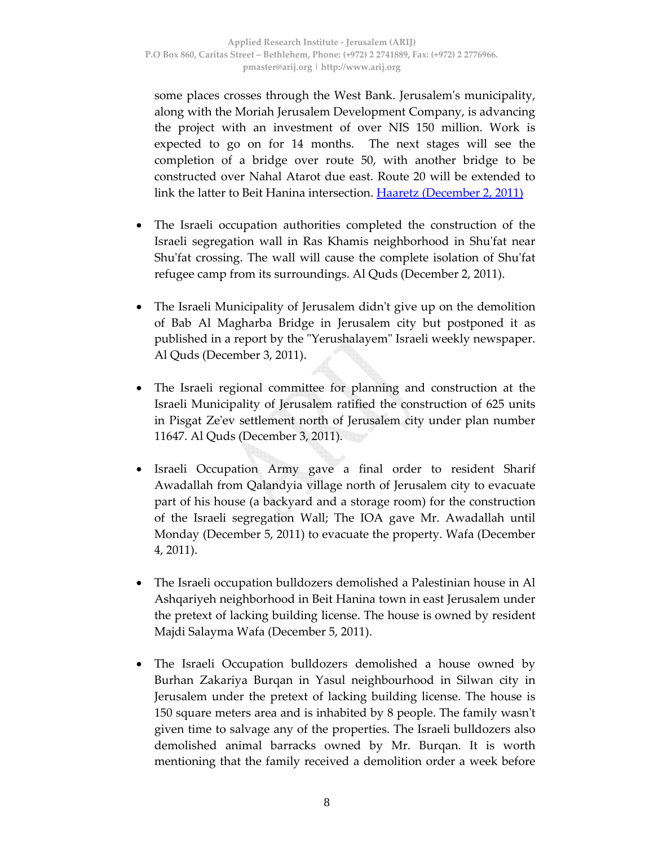some places crosses through the West Bank. Jerusalem's municipality, along with the Moriah Jerusalem Development Company, is advancing the project with an investment of over NIS 150 million. Work is expected to go on for 14 months. The next stages will see the completion of a bridge over route 50, with another bridge to be constructed over Nahal Atarot due east. Route 20 will be extended to link the latter to Beit Hanina intersection. Haaretz (December 2, 2011)

- The Israeli occupation authorities completed the construction of the Israeli segregation wall in Ras Khamis neighborhood in Shuʹfat near Shu'fat crossing. The wall will cause the complete isolation of Shu'fat refugee camp from its surroundings. Al Quds (December 2, 2011).
- The Israeli Municipality of Jerusalem didnʹt give up on the demolition of Bab Al Magharba Bridge in Jerusalem city but postponed it as published in a report by the "Yerushalayem" Israeli weekly newspaper. Al Quds (December 3, 2011).
- The Israeli regional committee for planning and construction at the Israeli Municipality of Jerusalem ratified the construction of 625 units in Pisgat Zeʹev settlement north of Jerusalem city under plan number 11647. Al Quds (December 3, 2011).
- Israeli Occupation Army gave a final order to resident Sharif Awadallah from Qalandyia village north of Jerusalem city to evacuate part of his house (a backyard and a storage room) for the construction of the Israeli segregation Wall; The IOA gave Mr. Awadallah until Monday (December 5, 2011) to evacuate the property. Wafa (December 4, 2011).
- The Israeli occupation bulldozers demolished a Palestinian house in Al Ashqariyeh neighborhood in Beit Hanina town in east Jerusalem under the pretext of lacking building license. The house is owned by resident Majdi Salayma Wafa (December 5, 2011).
- The Israeli Occupation bulldozers demolished a house owned by Burhan Zakariya Burqan in Yasul neighbourhood in Silwan city in Jerusalem under the pretext of lacking building license. The house is 150 square meters area and is inhabited by 8 people. The family wasn't given time to salvage any of the properties. The Israeli bulldozers also demolished animal barracks owned by Mr. Burqan. It is worth mentioning that the family received a demolition order a week before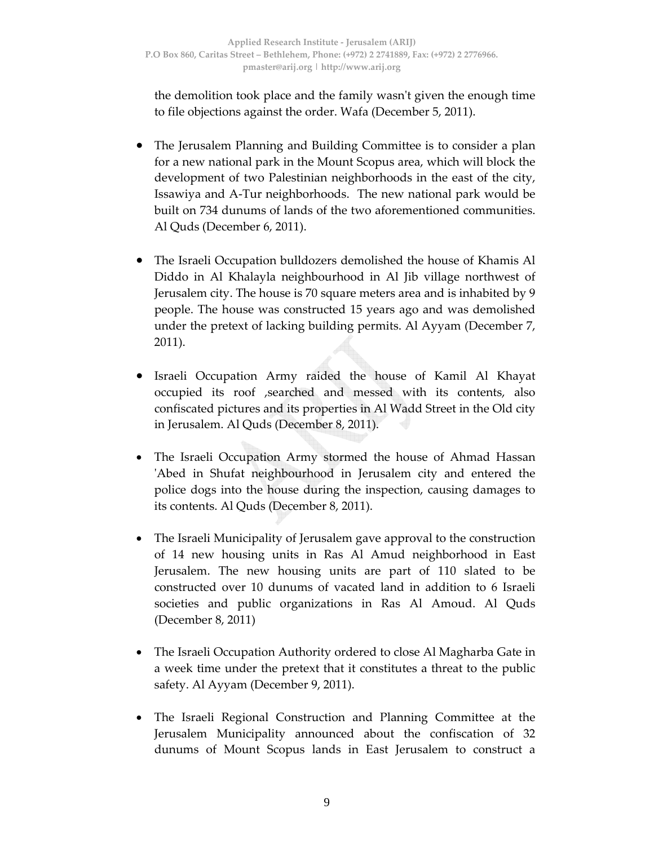the demolition took place and the family wasnʹt given the enough time to file objections against the order. Wafa (December 5, 2011).

- The Jerusalem Planning and Building Committee is to consider a plan for a new national park in the Mount Scopus area, which will block the development of two Palestinian neighborhoods in the east of the city, Issawiya and A‐Tur neighborhoods. The new national park would be built on 734 dunums of lands of the two aforementioned communities. Al Quds (December 6, 2011).
- The Israeli Occupation bulldozers demolished the house of Khamis Al Diddo in Al Khalayla neighbourhood in Al Jib village northwest of Jerusalem city. The house is 70 square meters area and is inhabited by 9 people. The house was constructed 15 years ago and was demolished under the pretext of lacking building permits. Al Ayyam (December 7, 2011).
- Israeli Occupation Army raided the house of Kamil Al Khayat occupied its roof ,searched and messed with its contents, also confiscated pictures and its properties in Al Wadd Street in the Old city in Jerusalem. Al Quds (December 8, 2011).
- The Israeli Occupation Army stormed the house of Ahmad Hassan ʹAbed in Shufat neighbourhood in Jerusalem city and entered the police dogs into the house during the inspection, causing damages to its contents. Al Quds (December 8, 2011).
- The Israeli Municipality of Jerusalem gave approval to the construction of 14 new housing units in Ras Al Amud neighborhood in East Jerusalem. The new housing units are part of 110 slated to be constructed over 10 dunums of vacated land in addition to 6 Israeli societies and public organizations in Ras Al Amoud. Al Quds (December 8, 2011)
- The Israeli Occupation Authority ordered to close Al Magharba Gate in a week time under the pretext that it constitutes a threat to the public safety. Al Ayyam (December 9, 2011).
- The Israeli Regional Construction and Planning Committee at the Jerusalem Municipality announced about the confiscation of 32 dunums of Mount Scopus lands in East Jerusalem to construct a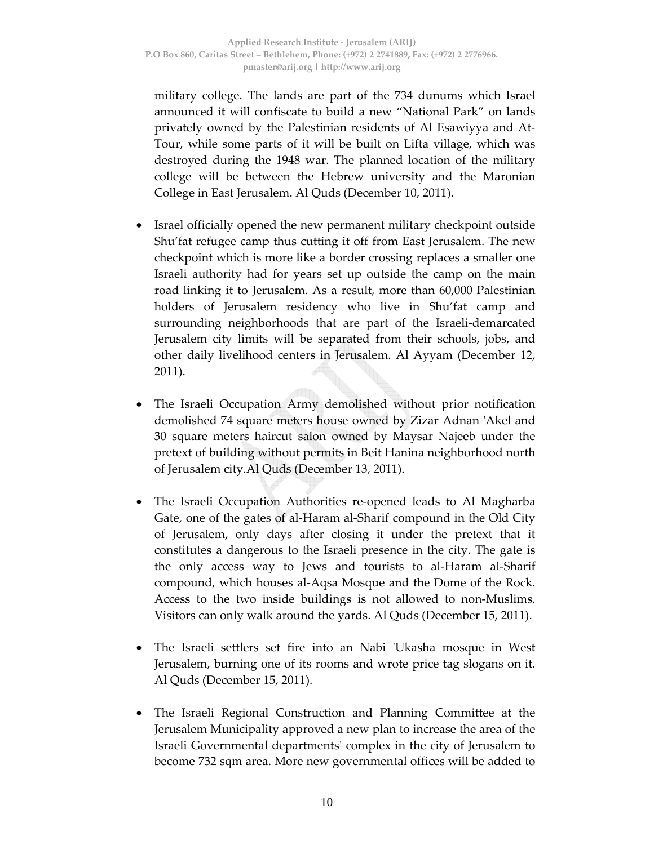military college. The lands are part of the 734 dunums which Israel announced it will confiscate to build a new "National Park" on lands privately owned by the Palestinian residents of Al Esawiyya and At‐ Tour, while some parts of it will be built on Lifta village, which was destroyed during the 1948 war. The planned location of the military college will be between the Hebrew university and the Maronian College in East Jerusalem. Al Quds (December 10, 2011).

- Israel officially opened the new permanent military checkpoint outside Shu'fat refugee camp thus cutting it off from East Jerusalem. The new checkpoint which is more like a border crossing replaces a smaller one Israeli authority had for years set up outside the camp on the main road linking it to Jerusalem. As a result, more than 60,000 Palestinian holders of Jerusalem residency who live in Shu'fat camp and surrounding neighborhoods that are part of the Israeli‐demarcated Jerusalem city limits will be separated from their schools, jobs, and other daily livelihood centers in Jerusalem. Al Ayyam (December 12, 2011).
- The Israeli Occupation Army demolished without prior notification demolished 74 square meters house owned by Zizar Adnan ʹAkel and 30 square meters haircut salon owned by Maysar Najeeb under the pretext of building without permits in Beit Hanina neighborhood north of Jerusalem city.Al Quds (December 13, 2011).
- The Israeli Occupation Authorities re-opened leads to Al Magharba Gate, one of the gates of al‐Haram al‐Sharif compound in the Old City of Jerusalem, only days after closing it under the pretext that it constitutes a dangerous to the Israeli presence in the city. The gate is the only access way to Jews and tourists to al‐Haram al‐Sharif compound, which houses al‐Aqsa Mosque and the Dome of the Rock. Access to the two inside buildings is not allowed to non‐Muslims. Visitors can only walk around the yards. Al Quds (December 15, 2011).
- The Israeli settlers set fire into an Nabi 'Ukasha mosque in West Jerusalem, burning one of its rooms and wrote price tag slogans on it. Al Quds (December 15, 2011).
- The Israeli Regional Construction and Planning Committee at the Jerusalem Municipality approved a new plan to increase the area of the Israeli Governmental departmentsʹ complex in the city of Jerusalem to become 732 sqm area. More new governmental offices will be added to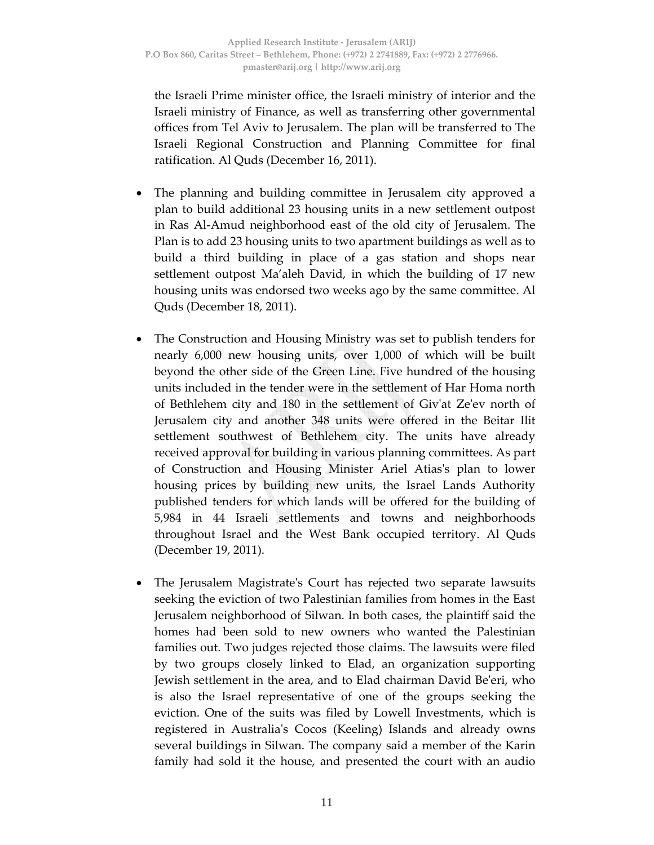the Israeli Prime minister office, the Israeli ministry of interior and the Israeli ministry of Finance, as well as transferring other governmental offices from Tel Aviv to Jerusalem. The plan will be transferred to The Israeli Regional Construction and Planning Committee for final ratification. Al Quds (December 16, 2011).

- The planning and building committee in Jerusalem city approved a plan to build additional 23 housing units in a new settlement outpost in Ras Al‐Amud neighborhood east of the old city of Jerusalem. The Plan is to add 23 housing units to two apartment buildings as well as to build a third building in place of a gas station and shops near settlement outpost Ma'aleh David, in which the building of 17 new housing units was endorsed two weeks ago by the same committee. Al Quds (December 18, 2011).
- The Construction and Housing Ministry was set to publish tenders for nearly 6,000 new housing units, over 1,000 of which will be built beyond the other side of the Green Line. Five hundred of the housing units included in the tender were in the settlement of Har Homa north of Bethlehem city and 180 in the settlement of Givʹat Zeʹev north of Jerusalem city and another 348 units were offered in the Beitar Ilit settlement southwest of Bethlehem city. The units have already received approval for building in various planning committees. As part of Construction and Housing Minister Ariel Atiasʹs plan to lower housing prices by building new units, the Israel Lands Authority published tenders for which lands will be offered for the building of 5,984 in 44 Israeli settlements and towns and neighborhoods throughout Israel and the West Bank occupied territory. Al Quds (December 19, 2011).
- The Jerusalem Magistrateʹs Court has rejected two separate lawsuits seeking the eviction of two Palestinian families from homes in the East Jerusalem neighborhood of Silwan. In both cases, the plaintiff said the homes had been sold to new owners who wanted the Palestinian families out. Two judges rejected those claims. The lawsuits were filed by two groups closely linked to Elad, an organization supporting Jewish settlement in the area, and to Elad chairman David Beʹeri, who is also the Israel representative of one of the groups seeking the eviction. One of the suits was filed by Lowell Investments, which is registered in Australiaʹs Cocos (Keeling) Islands and already owns several buildings in Silwan. The company said a member of the Karin family had sold it the house, and presented the court with an audio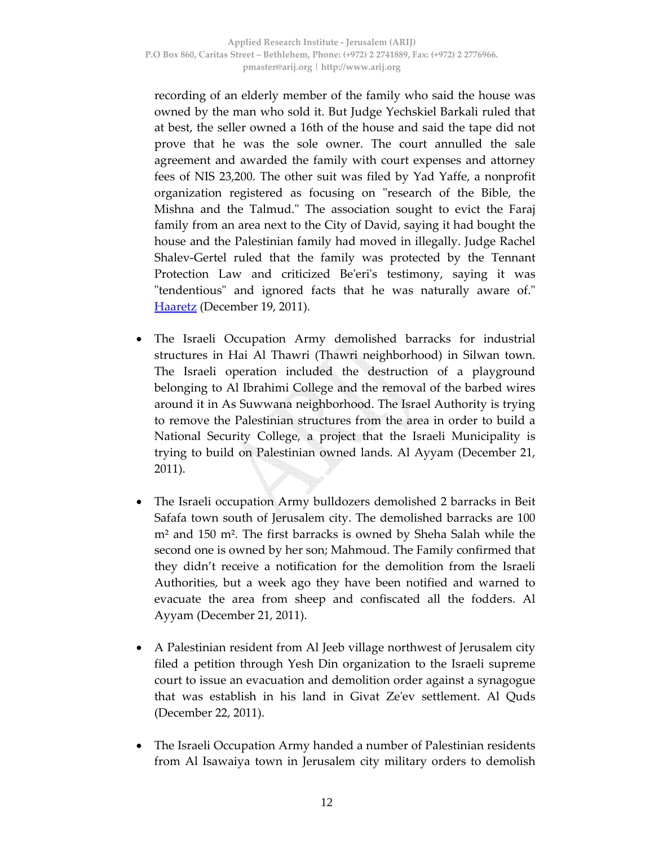recording of an elderly member of the family who said the house was owned by the man who sold it. But Judge Yechskiel Barkali ruled that at best, the seller owned a 16th of the house and said the tape did not prove that he was the sole owner. The court annulled the sale agreement and awarded the family with court expenses and attorney fees of NIS 23,200. The other suit was filed by Yad Yaffe, a nonprofit organization registered as focusing on "research of the Bible, the Mishna and the Talmud.ʺ The association sought to evict the Faraj family from an area next to the City of David, saying it had bought the house and the Palestinian family had moved in illegally. Judge Rachel Shalev‐Gertel ruled that the family was protected by the Tennant Protection Law and criticized Be'eri's testimony, saying it was "tendentious" and ignored facts that he was naturally aware of." Haaretz (December 19, 2011).

- The Israeli Occupation Army demolished barracks for industrial structures in Hai Al Thawri (Thawri neighborhood) in Silwan town. The Israeli operation included the destruction of a playground belonging to Al Ibrahimi College and the removal of the barbed wires around it in As Suwwana neighborhood. The Israel Authority is trying to remove the Palestinian structures from the area in order to build a National Security College, a project that the Israeli Municipality is trying to build on Palestinian owned lands. Al Ayyam (December 21, 2011).
- The Israeli occupation Army bulldozers demolished 2 barracks in Beit Safafa town south of Jerusalem city. The demolished barracks are 100 m² and 150 m². The first barracks is owned by Sheha Salah while the second one is owned by her son; Mahmoud. The Family confirmed that they didn't receive a notification for the demolition from the Israeli Authorities, but a week ago they have been notified and warned to evacuate the area from sheep and confiscated all the fodders. Al Ayyam (December 21, 2011).
- A Palestinian resident from Al Jeeb village northwest of Jerusalem city filed a petition through Yesh Din organization to the Israeli supreme court to issue an evacuation and demolition order against a synagogue that was establish in his land in Givat Zeʹev settlement. Al Quds (December 22, 2011).
- The Israeli Occupation Army handed a number of Palestinian residents from Al Isawaiya town in Jerusalem city military orders to demolish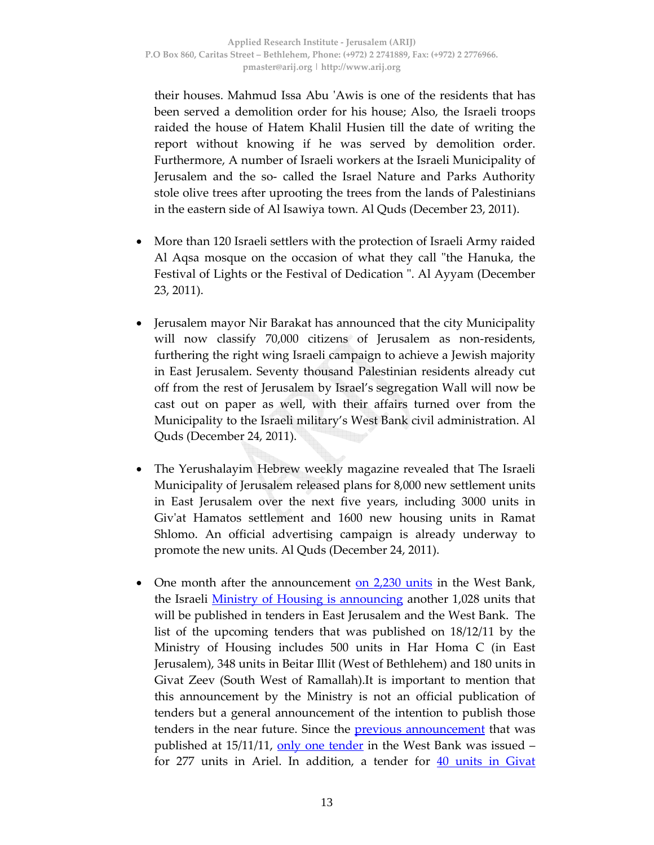their houses. Mahmud Issa Abu ʹAwis is one of the residents that has been served a demolition order for his house; Also, the Israeli troops raided the house of Hatem Khalil Husien till the date of writing the report without knowing if he was served by demolition order. Furthermore, A number of Israeli workers at the Israeli Municipality of Jerusalem and the so‐ called the Israel Nature and Parks Authority stole olive trees after uprooting the trees from the lands of Palestinians in the eastern side of Al Isawiya town. Al Quds (December 23, 2011).

- More than 120 Israeli settlers with the protection of Israeli Army raided Al Aqsa mosque on the occasion of what they call "the Hanuka, the Festival of Lights or the Festival of Dedication ". Al Ayyam (December 23, 2011).
- Jerusalem mayor Nir Barakat has announced that the city Municipality will now classify 70,000 citizens of Jerusalem as non-residents, furthering the right wing Israeli campaign to achieve a Jewish majority in East Jerusalem. Seventy thousand Palestinian residents already cut off from the rest of Jerusalem by Israel's segregation Wall will now be cast out on paper as well, with their affairs turned over from the Municipality to the Israeli military's West Bank civil administration. Al Quds (December 24, 2011).
- The Yerushalayim Hebrew weekly magazine revealed that The Israeli Municipality of Jerusalem released plans for 8,000 new settlement units in East Jerusalem over the next five years, including 3000 units in Givʹat Hamatos settlement and 1600 new housing units in Ramat Shlomo. An official advertising campaign is already underway to promote the new units. Al Quds (December 24, 2011).
- One month after the announcement on 2,230 units in the West Bank, the Israeli **Ministry of Housing is announcing another 1,028 units that** will be published in tenders in East Jerusalem and the West Bank. The list of the upcoming tenders that was published on 18/12/11 by the Ministry of Housing includes 500 units in Har Homa C (in East Jerusalem), 348 units in Beitar Illit (West of Bethlehem) and 180 units in Givat Zeev (South West of Ramallah).It is important to mention that this announcement by the Ministry is not an official publication of tenders but a general announcement of the intention to publish those tenders in the near future. Since the <u>previous announcement</u> that was published at 15/11/11, only one tender in the West Bank was issued – for 277 units in Ariel. In addition, a tender for 40 units in Givat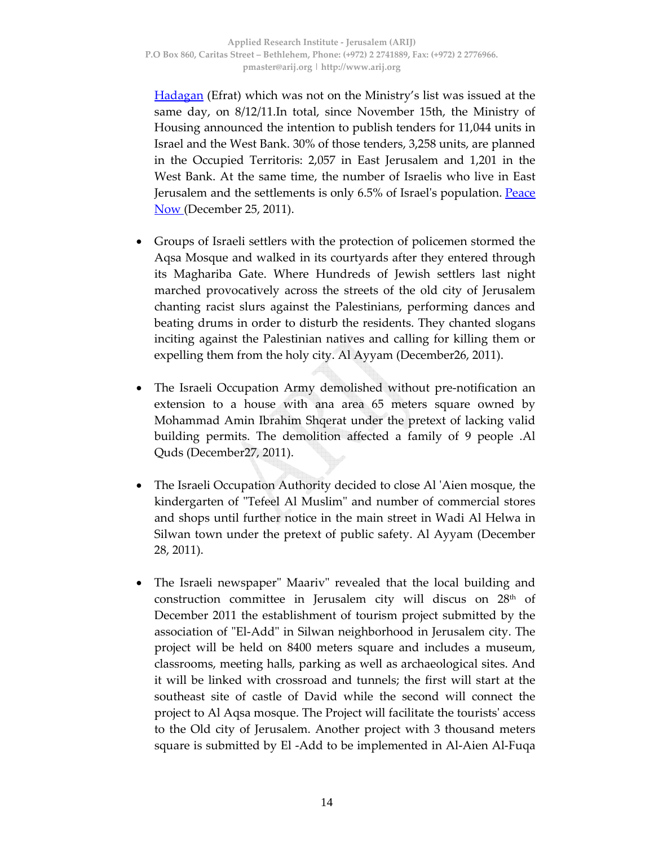**Hadagan** (Efrat) which was not on the Ministry's list was issued at the same day, on 8/12/11.In total, since November 15th, the Ministry of Housing announced the intention to publish tenders for 11,044 units in Israel and the West Bank. 30% of those tenders, 3,258 units, are planned in the Occupied Territoris: 2,057 in East Jerusalem and 1,201 in the West Bank. At the same time, the number of Israelis who live in East Jerusalem and the settlements is only 6.5% of Israel's population. Peace **Now (December 25, 2011).** 

- Groups of Israeli settlers with the protection of policemen stormed the Aqsa Mosque and walked in its courtyards after they entered through its Maghariba Gate. Where Hundreds of Jewish settlers last night marched provocatively across the streets of the old city of Jerusalem chanting racist slurs against the Palestinians, performing dances and beating drums in order to disturb the residents. They chanted slogans inciting against the Palestinian natives and calling for killing them or expelling them from the holy city. Al Ayyam (December26, 2011).
- The Israeli Occupation Army demolished without pre‐notification an extension to a house with ana area 65 meters square owned by Mohammad Amin Ibrahim Shqerat under the pretext of lacking valid building permits. The demolition affected a family of 9 people .Al Quds (December27, 2011).
- The Israeli Occupation Authority decided to close Al ʹAien mosque, the kindergarten of "Tefeel Al Muslim" and number of commercial stores and shops until further notice in the main street in Wadi Al Helwa in Silwan town under the pretext of public safety. Al Ayyam (December 28, 2011).
- The Israeli newspaper" Maariv" revealed that the local building and construction committee in Jerusalem city will discus on  $28<sup>th</sup>$  of December 2011 the establishment of tourism project submitted by the association of "El-Add" in Silwan neighborhood in Jerusalem city. The project will be held on 8400 meters square and includes a museum, classrooms, meeting halls, parking as well as archaeological sites. And it will be linked with crossroad and tunnels; the first will start at the southeast site of castle of David while the second will connect the project to Al Aqsa mosque. The Project will facilitate the touristsʹ access to the Old city of Jerusalem. Another project with 3 thousand meters square is submitted by El ‐Add to be implemented in Al‐Aien Al‐Fuqa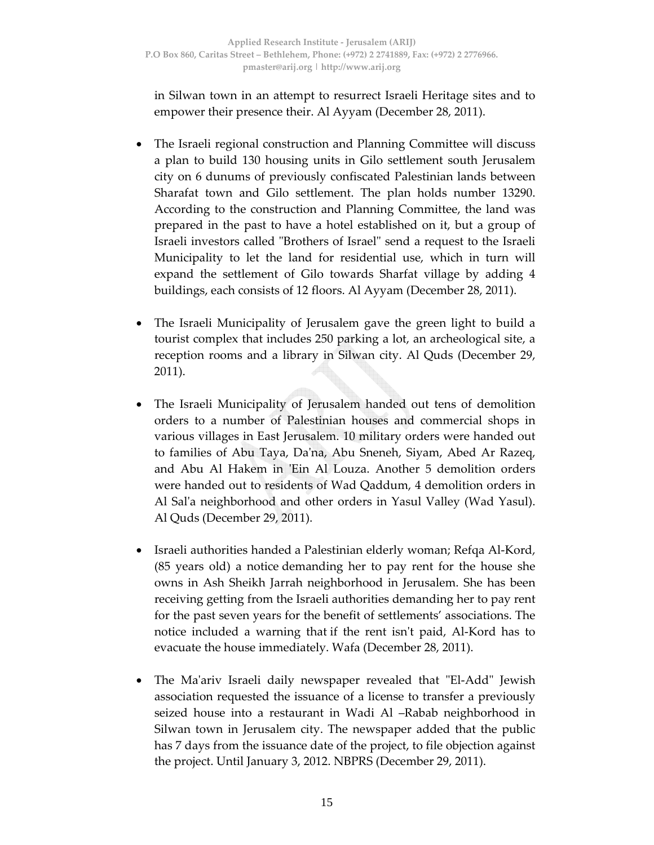in Silwan town in an attempt to resurrect Israeli Heritage sites and to empower their presence their. Al Ayyam (December 28, 2011).

- The Israeli regional construction and Planning Committee will discuss a plan to build 130 housing units in Gilo settlement south Jerusalem city on 6 dunums of previously confiscated Palestinian lands between Sharafat town and Gilo settlement. The plan holds number 13290. According to the construction and Planning Committee, the land was prepared in the past to have a hotel established on it, but a group of Israeli investors called "Brothers of Israel" send a request to the Israeli Municipality to let the land for residential use, which in turn will expand the settlement of Gilo towards Sharfat village by adding 4 buildings, each consists of 12 floors. Al Ayyam (December 28, 2011).
- The Israeli Municipality of Jerusalem gave the green light to build a tourist complex that includes 250 parking a lot, an archeological site, a reception rooms and a library in Silwan city. Al Quds (December 29, 2011).
- The Israeli Municipality of Jerusalem handed out tens of demolition orders to a number of Palestinian houses and commercial shops in various villages in East Jerusalem. 10 military orders were handed out to families of Abu Taya, Daʹna, Abu Sneneh, Siyam, Abed Ar Razeq, and Abu Al Hakem in 'Ein Al Louza. Another 5 demolition orders were handed out to residents of Wad Qaddum, 4 demolition orders in Al Sal'a neighborhood and other orders in Yasul Valley (Wad Yasul). Al Quds (December 29, 2011).
- Israeli authorities handed a Palestinian elderly woman; Refqa Al‐Kord, (85 years old) a notice demanding her to pay rent for the house she owns in Ash Sheikh Jarrah neighborhood in Jerusalem. She has been receiving getting from the Israeli authorities demanding her to pay rent for the past seven years for the benefit of settlements' associations. The notice included a warning that if the rent isn't paid, Al-Kord has to evacuate the house immediately. Wafa (December 28, 2011).
- The Ma'ariv Israeli daily newspaper revealed that "El-Add" Jewish association requested the issuance of a license to transfer a previously seized house into a restaurant in Wadi Al –Rabab neighborhood in Silwan town in Jerusalem city. The newspaper added that the public has 7 days from the issuance date of the project, to file objection against the project. Until January 3, 2012. NBPRS (December 29, 2011).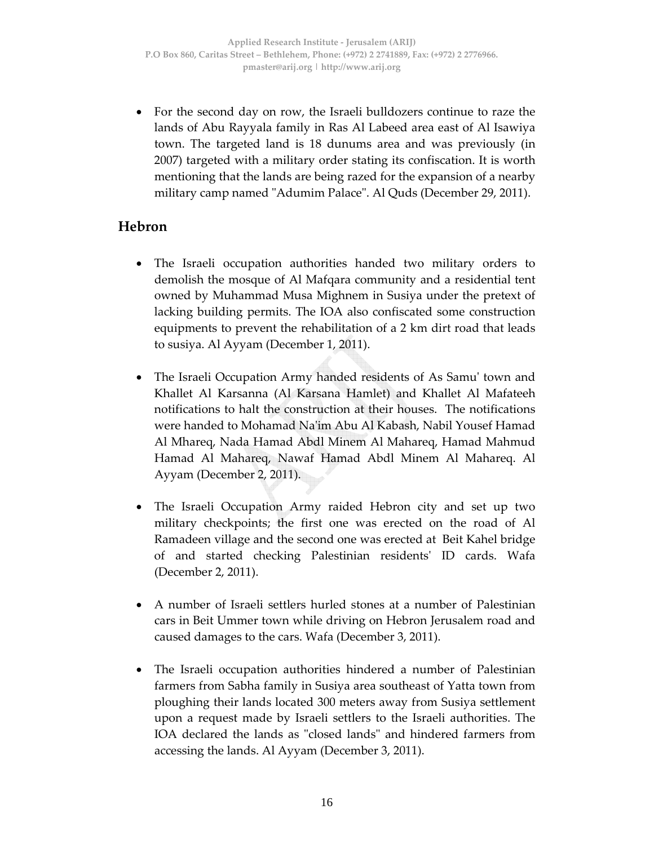• For the second day on row, the Israeli bulldozers continue to raze the lands of Abu Rayyala family in Ras Al Labeed area east of Al Isawiya town. The targeted land is 18 dunums area and was previously (in 2007) targeted with a military order stating its confiscation. It is worth mentioning that the lands are being razed for the expansion of a nearby military camp named "Adumim Palace". Al Quds (December 29, 2011).

### **Hebron**

- The Israeli occupation authorities handed two military orders to demolish the mosque of Al Mafqara community and a residential tent owned by Muhammad Musa Mighnem in Susiya under the pretext of lacking building permits. The IOA also confiscated some construction equipments to prevent the rehabilitation of a 2 km dirt road that leads to susiya. Al Ayyam (December 1, 2011).
- The Israeli Occupation Army handed residents of As Samu' town and Khallet Al Karsanna (Al Karsana Hamlet) and Khallet Al Mafateeh notifications to halt the construction at their houses. The notifications were handed to Mohamad Naʹim Abu Al Kabash, Nabil Yousef Hamad Al Mhareq, Nada Hamad Abdl Minem Al Mahareq, Hamad Mahmud Hamad Al Mahareq, Nawaf Hamad Abdl Minem Al Mahareq. Al Ayyam (December 2, 2011).
- The Israeli Occupation Army raided Hebron city and set up two military checkpoints; the first one was erected on the road of Al Ramadeen village and the second one was erected at Beit Kahel bridge of and started checking Palestinian residentsʹ ID cards. Wafa (December 2, 2011).
- A number of Israeli settlers hurled stones at a number of Palestinian cars in Beit Ummer town while driving on Hebron Jerusalem road and caused damages to the cars. Wafa (December 3, 2011).
- The Israeli occupation authorities hindered a number of Palestinian farmers from Sabha family in Susiya area southeast of Yatta town from ploughing their lands located 300 meters away from Susiya settlement upon a request made by Israeli settlers to the Israeli authorities. The IOA declared the lands as "closed lands" and hindered farmers from accessing the lands. Al Ayyam (December 3, 2011).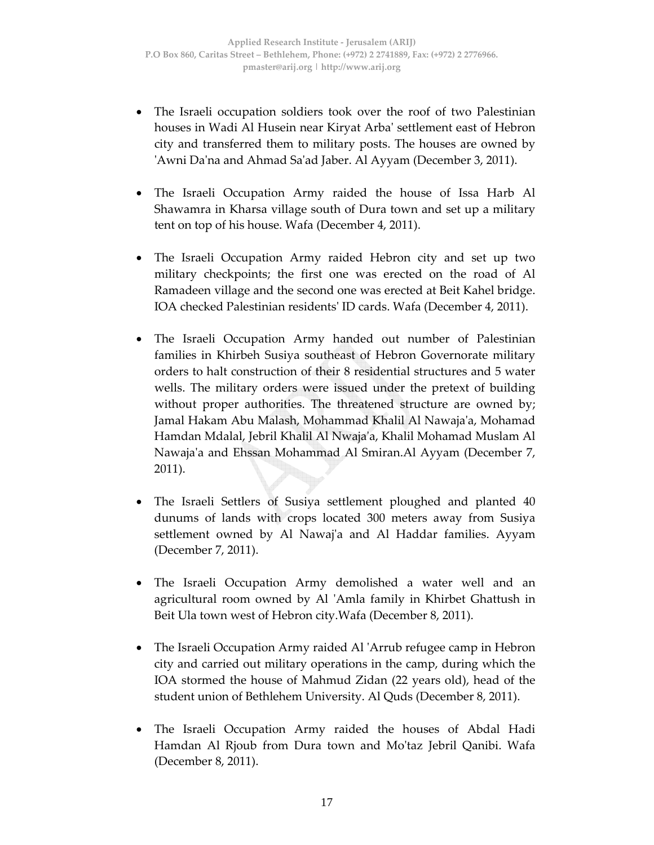- The Israeli occupation soldiers took over the roof of two Palestinian houses in Wadi Al Husein near Kiryat Arbaʹ settlement east of Hebron city and transferred them to military posts. The houses are owned by ʹAwni Daʹna and Ahmad Saʹad Jaber. Al Ayyam (December 3, 2011).
- The Israeli Occupation Army raided the house of Issa Harb Al Shawamra in Kharsa village south of Dura town and set up a military tent on top of his house. Wafa (December 4, 2011).
- The Israeli Occupation Army raided Hebron city and set up two military checkpoints; the first one was erected on the road of Al Ramadeen village and the second one was erected at Beit Kahel bridge. IOA checked Palestinian residentsʹ ID cards. Wafa (December 4, 2011).
- The Israeli Occupation Army handed out number of Palestinian families in Khirbeh Susiya southeast of Hebron Governorate military orders to halt construction of their 8 residential structures and 5 water wells. The military orders were issued under the pretext of building without proper authorities. The threatened structure are owned by; Jamal Hakam Abu Malash, Mohammad Khalil Al Nawaja'a, Mohamad Hamdan Mdalal, Jebril Khalil Al Nwajaʹa, Khalil Mohamad Muslam Al Nawajaʹa and Ehssan Mohammad Al Smiran.Al Ayyam (December 7, 2011).
- The Israeli Settlers of Susiya settlement ploughed and planted 40 dunums of lands with crops located 300 meters away from Susiya settlement owned by Al Nawajʹa and Al Haddar families. Ayyam (December 7, 2011).
- The Israeli Occupation Army demolished a water well and an agricultural room owned by Al ʹAmla family in Khirbet Ghattush in Beit Ula town west of Hebron city.Wafa (December 8, 2011).
- The Israeli Occupation Army raided Al ʹArrub refugee camp in Hebron city and carried out military operations in the camp, during which the IOA stormed the house of Mahmud Zidan (22 years old), head of the student union of Bethlehem University. Al Quds (December 8, 2011).
- The Israeli Occupation Army raided the houses of Abdal Hadi Hamdan Al Rjoub from Dura town and Moʹtaz Jebril Qanibi. Wafa (December 8, 2011).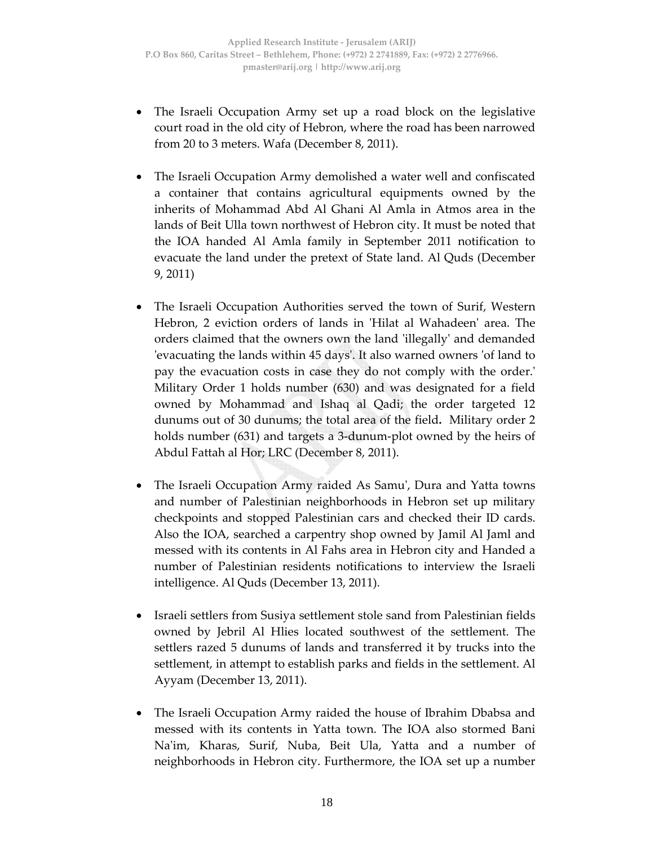- The Israeli Occupation Army set up a road block on the legislative court road in the old city of Hebron, where the road has been narrowed from 20 to 3 meters. Wafa (December 8, 2011).
- The Israeli Occupation Army demolished a water well and confiscated a container that contains agricultural equipments owned by the inherits of Mohammad Abd Al Ghani Al Amla in Atmos area in the lands of Beit Ulla town northwest of Hebron city. It must be noted that the IOA handed Al Amla family in September 2011 notification to evacuate the land under the pretext of State land. Al Quds (December 9, 2011)
- The Israeli Occupation Authorities served the town of Surif, Western Hebron, 2 eviction orders of lands in 'Hilat al Wahadeen' area. The orders claimed that the owners own the land ʹillegallyʹ and demanded ʹevacuating the lands within 45 daysʹ. It also warned owners ʹof land to pay the evacuation costs in case they do not comply with the order.ʹ Military Order 1 holds number (630) and was designated for a field owned by Mohammad and Ishaq al Qadi; the order targeted 12 dunums out of 30 dunums; the total area of the field**.** Military order 2 holds number (631) and targets a 3‐dunum‐plot owned by the heirs of Abdul Fattah al Hor; LRC (December 8, 2011).
- The Israeli Occupation Army raided As Samu', Dura and Yatta towns and number of Palestinian neighborhoods in Hebron set up military checkpoints and stopped Palestinian cars and checked their ID cards. Also the IOA, searched a carpentry shop owned by Jamil Al Jaml and messed with its contents in Al Fahs area in Hebron city and Handed a number of Palestinian residents notifications to interview the Israeli intelligence. Al Quds (December 13, 2011).
- Israeli settlers from Susiya settlement stole sand from Palestinian fields owned by Jebril Al Hlies located southwest of the settlement. The settlers razed 5 dunums of lands and transferred it by trucks into the settlement, in attempt to establish parks and fields in the settlement. Al Ayyam (December 13, 2011).
- The Israeli Occupation Army raided the house of Ibrahim Dbabsa and messed with its contents in Yatta town. The IOA also stormed Bani Naʹim, Kharas, Surif, Nuba, Beit Ula, Yatta and a number of neighborhoods in Hebron city. Furthermore, the IOA set up a number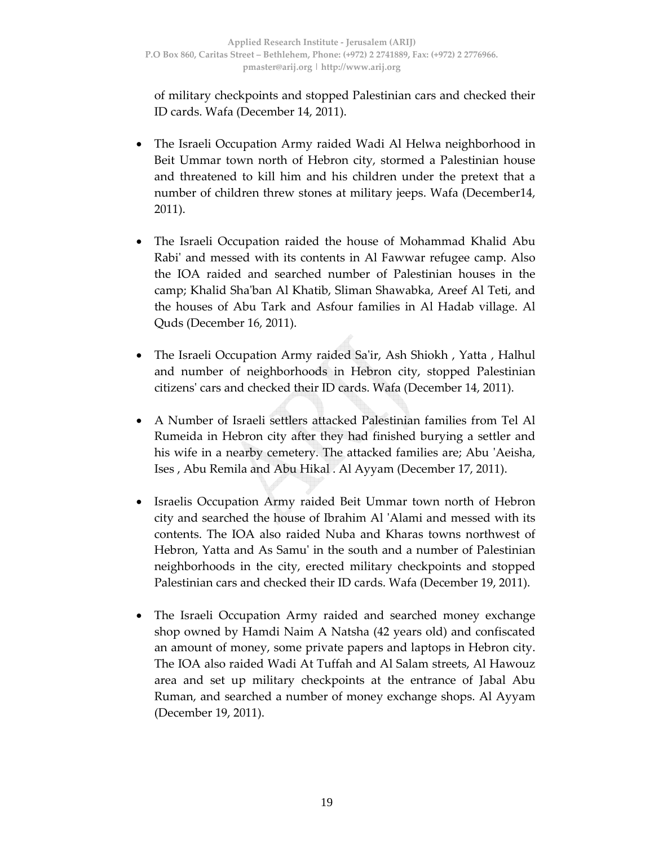of military checkpoints and stopped Palestinian cars and checked their ID cards. Wafa (December 14, 2011).

- The Israeli Occupation Army raided Wadi Al Helwa neighborhood in Beit Ummar town north of Hebron city, stormed a Palestinian house and threatened to kill him and his children under the pretext that a number of children threw stones at military jeeps. Wafa (December14, 2011).
- The Israeli Occupation raided the house of Mohammad Khalid Abu Rabi' and messed with its contents in Al Fawwar refugee camp. Also the IOA raided and searched number of Palestinian houses in the camp; Khalid Shaʹban Al Khatib, Sliman Shawabka, Areef Al Teti, and the houses of Abu Tark and Asfour families in Al Hadab village. Al Quds (December 16, 2011).
- The Israeli Occupation Army raided Sa'ir, Ash Shiokh, Yatta, Halhul and number of neighborhoods in Hebron city, stopped Palestinian citizensʹ cars and checked their ID cards. Wafa (December 14, 2011).
- A Number of Israeli settlers attacked Palestinian families from Tel Al Rumeida in Hebron city after they had finished burying a settler and his wife in a nearby cemetery. The attacked families are; Abu ʹAeisha, Ises , Abu Remila and Abu Hikal . Al Ayyam (December 17, 2011).
- Israelis Occupation Army raided Beit Ummar town north of Hebron city and searched the house of Ibrahim Al ʹAlami and messed with its contents. The IOA also raided Nuba and Kharas towns northwest of Hebron, Yatta and As Samuʹ in the south and a number of Palestinian neighborhoods in the city, erected military checkpoints and stopped Palestinian cars and checked their ID cards. Wafa (December 19, 2011).
- The Israeli Occupation Army raided and searched money exchange shop owned by Hamdi Naim A Natsha (42 years old) and confiscated an amount of money, some private papers and laptops in Hebron city. The IOA also raided Wadi At Tuffah and Al Salam streets, Al Hawouz area and set up military checkpoints at the entrance of Jabal Abu Ruman, and searched a number of money exchange shops. Al Ayyam (December 19, 2011).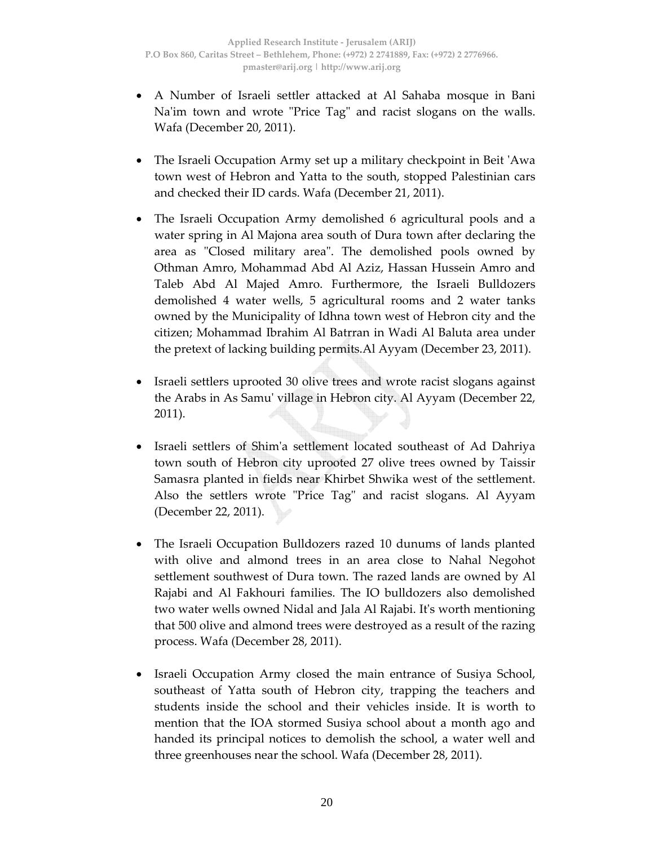- A Number of Israeli settler attacked at Al Sahaba mosque in Bani Na'im town and wrote "Price Tag" and racist slogans on the walls. Wafa (December 20, 2011).
- The Israeli Occupation Army set up a military checkpoint in Beit ʹAwa town west of Hebron and Yatta to the south, stopped Palestinian cars and checked their ID cards. Wafa (December 21, 2011).
- The Israeli Occupation Army demolished 6 agricultural pools and a water spring in Al Majona area south of Dura town after declaring the area as "Closed military area". The demolished pools owned by Othman Amro, Mohammad Abd Al Aziz, Hassan Hussein Amro and Taleb Abd Al Majed Amro. Furthermore, the Israeli Bulldozers demolished 4 water wells, 5 agricultural rooms and 2 water tanks owned by the Municipality of Idhna town west of Hebron city and the citizen; Mohammad Ibrahim Al Batrran in Wadi Al Baluta area under the pretext of lacking building permits.Al Ayyam (December 23, 2011).
- Israeli settlers uprooted 30 olive trees and wrote racist slogans against the Arabs in As Samuʹ village in Hebron city. Al Ayyam (December 22, 2011).
- Israeli settlers of Shimʹa settlement located southeast of Ad Dahriya town south of Hebron city uprooted 27 olive trees owned by Taissir Samasra planted in fields near Khirbet Shwika west of the settlement. Also the settlers wrote "Price Tag" and racist slogans. Al Ayyam (December 22, 2011).
- The Israeli Occupation Bulldozers razed 10 dunums of lands planted with olive and almond trees in an area close to Nahal Negohot settlement southwest of Dura town. The razed lands are owned by Al Rajabi and Al Fakhouri families. The IO bulldozers also demolished two water wells owned Nidal and Jala Al Rajabi. Itʹs worth mentioning that 500 olive and almond trees were destroyed as a result of the razing process. Wafa (December 28, 2011).
- Israeli Occupation Army closed the main entrance of Susiya School, southeast of Yatta south of Hebron city, trapping the teachers and students inside the school and their vehicles inside. It is worth to mention that the IOA stormed Susiya school about a month ago and handed its principal notices to demolish the school, a water well and three greenhouses near the school. Wafa (December 28, 2011).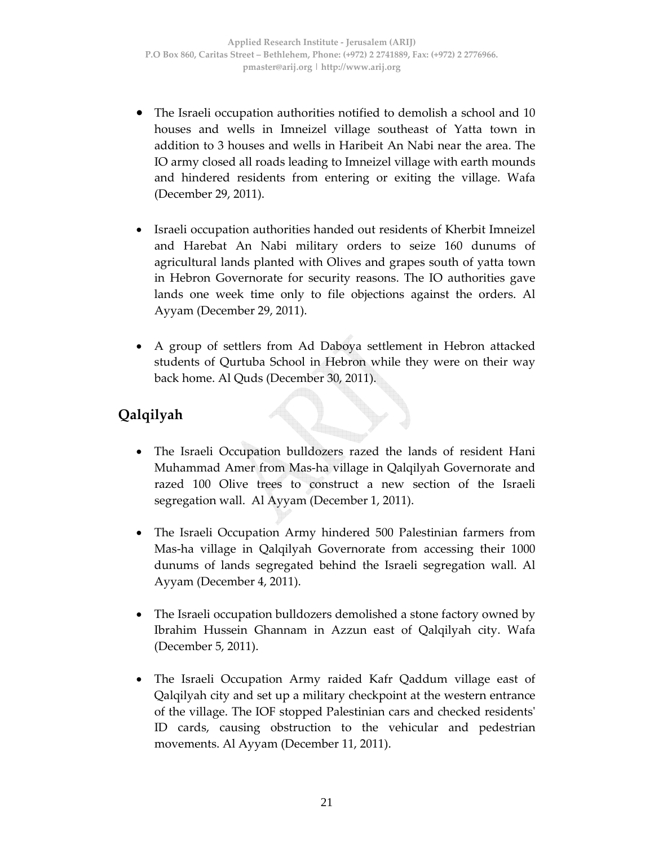- The Israeli occupation authorities notified to demolish a school and 10 houses and wells in Imneizel village southeast of Yatta town in addition to 3 houses and wells in Haribeit An Nabi near the area. The IO army closed all roads leading to Imneizel village with earth mounds and hindered residents from entering or exiting the village. Wafa (December 29, 2011).
- Israeli occupation authorities handed out residents of Kherbit Imneizel and Harebat An Nabi military orders to seize 160 dunums of agricultural lands planted with Olives and grapes south of yatta town in Hebron Governorate for security reasons. The IO authorities gave lands one week time only to file objections against the orders. Al Ayyam (December 29, 2011).
- A group of settlers from Ad Daboya settlement in Hebron attacked students of Qurtuba School in Hebron while they were on their way back home. Al Quds (December 30, 2011).

# **Qalqilyah**

- The Israeli Occupation bulldozers razed the lands of resident Hani Muhammad Amer from Mas‐ha village in Qalqilyah Governorate and razed 100 Olive trees to construct a new section of the Israeli segregation wall. Al Ayyam (December 1, 2011).
- The Israeli Occupation Army hindered 500 Palestinian farmers from Mas‐ha village in Qalqilyah Governorate from accessing their 1000 dunums of lands segregated behind the Israeli segregation wall. Al Ayyam (December 4, 2011).
- The Israeli occupation bulldozers demolished a stone factory owned by Ibrahim Hussein Ghannam in Azzun east of Qalqilyah city. Wafa (December 5, 2011).
- The Israeli Occupation Army raided Kafr Qaddum village east of Qalqilyah city and set up a military checkpoint at the western entrance of the village. The IOF stopped Palestinian cars and checked residentsʹ ID cards, causing obstruction to the vehicular and pedestrian movements. Al Ayyam (December 11, 2011).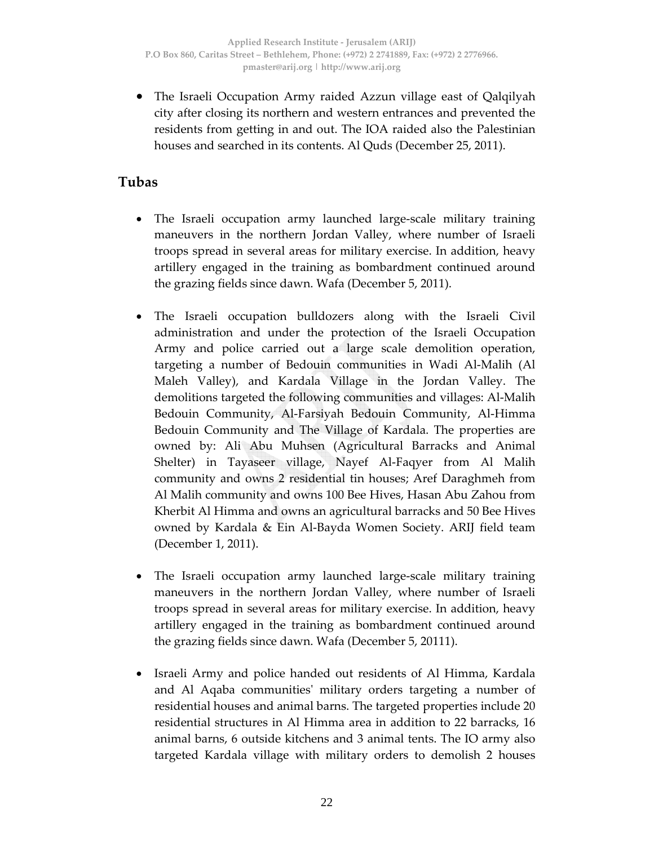• The Israeli Occupation Army raided Azzun village east of Qalqilyah city after closing its northern and western entrances and prevented the residents from getting in and out. The IOA raided also the Palestinian houses and searched in its contents. Al Quds (December 25, 2011).

### **Tubas**

- The Israeli occupation army launched large-scale military training maneuvers in the northern Jordan Valley, where number of Israeli troops spread in several areas for military exercise. In addition, heavy artillery engaged in the training as bombardment continued around the grazing fields since dawn. Wafa (December 5, 2011).
- The Israeli occupation bulldozers along with the Israeli Civil administration and under the protection of the Israeli Occupation Army and police carried out a large scale demolition operation, targeting a number of Bedouin communities in Wadi Al‐Malih (Al Maleh Valley), and Kardala Village in the Jordan Valley. The demolitions targeted the following communities and villages: Al‐Malih Bedouin Community, Al‐Farsiyah Bedouin Community, Al‐Himma Bedouin Community and The Village of Kardala. The properties are owned by: Ali Abu Muhsen (Agricultural Barracks and Animal Shelter) in Tayaseer village, Nayef Al-Faqyer from Al Malih community and owns 2 residential tin houses; Aref Daraghmeh from Al Malih community and owns 100 Bee Hives, Hasan Abu Zahou from Kherbit Al Himma and owns an agricultural barracks and 50 Bee Hives owned by Kardala & Ein Al‐Bayda Women Society. ARIJ field team (December 1, 2011).
- The Israeli occupation army launched large‐scale military training maneuvers in the northern Jordan Valley, where number of Israeli troops spread in several areas for military exercise. In addition, heavy artillery engaged in the training as bombardment continued around the grazing fields since dawn. Wafa (December 5, 20111).
- Israeli Army and police handed out residents of Al Himma, Kardala and Al Aqaba communitiesʹ military orders targeting a number of residential houses and animal barns. The targeted properties include 20 residential structures in Al Himma area in addition to 22 barracks, 16 animal barns, 6 outside kitchens and 3 animal tents. The IO army also targeted Kardala village with military orders to demolish 2 houses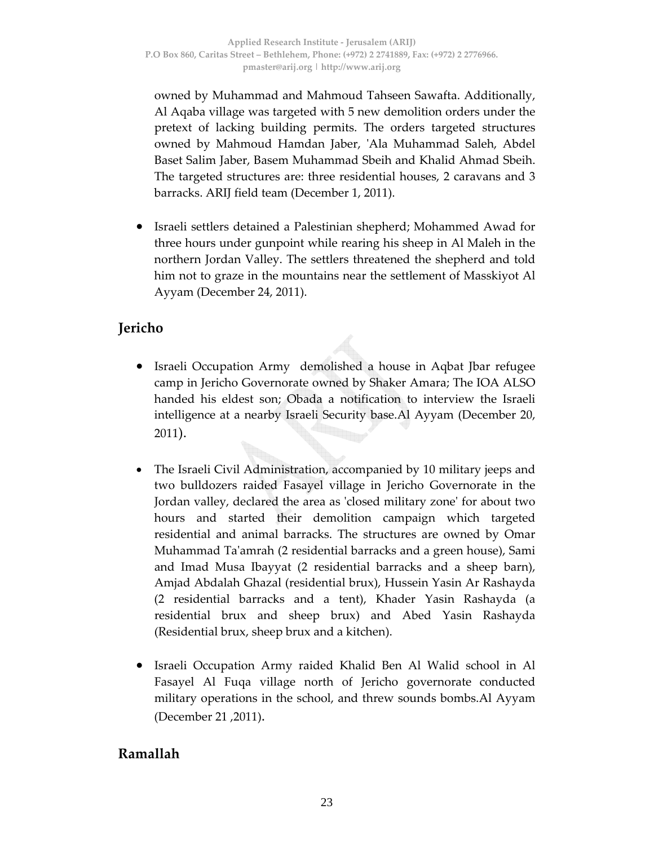owned by Muhammad and Mahmoud Tahseen Sawafta. Additionally, Al Aqaba village was targeted with 5 new demolition orders under the pretext of lacking building permits. The orders targeted structures owned by Mahmoud Hamdan Jaber, ʹAla Muhammad Saleh, Abdel Baset Salim Jaber, Basem Muhammad Sbeih and Khalid Ahmad Sbeih. The targeted structures are: three residential houses, 2 caravans and 3 barracks. ARIJ field team (December 1, 2011).

• Israeli settlers detained a Palestinian shepherd; Mohammed Awad for three hours under gunpoint while rearing his sheep in Al Maleh in the northern Jordan Valley. The settlers threatened the shepherd and told him not to graze in the mountains near the settlement of Masskiyot Al Ayyam (December 24, 2011).

# **Jericho**

- Israeli Occupation Army demolished a house in Aqbat Jbar refugee camp in Jericho Governorate owned by Shaker Amara; The IOA ALSO handed his eldest son; Obada a notification to interview the Israeli intelligence at a nearby Israeli Security base.Al Ayyam (December 20, 2011).
- The Israeli Civil Administration, accompanied by 10 military jeeps and two bulldozers raided Fasayel village in Jericho Governorate in the Jordan valley, declared the area as ʹclosed military zoneʹ for about two hours and started their demolition campaign which targeted residential and animal barracks. The structures are owned by Omar Muhammad Taʹamrah (2 residential barracks and a green house), Sami and Imad Musa Ibayyat (2 residential barracks and a sheep barn), Amjad Abdalah Ghazal (residential brux), Hussein Yasin Ar Rashayda (2 residential barracks and a tent), Khader Yasin Rashayda (a residential brux and sheep brux) and Abed Yasin Rashayda (Residential brux, sheep brux and a kitchen).
- Israeli Occupation Army raided Khalid Ben Al Walid school in Al Fasayel Al Fuqa village north of Jericho governorate conducted military operations in the school, and threw sounds bombs.Al Ayyam (December 21 ,2011).

## **Ramallah**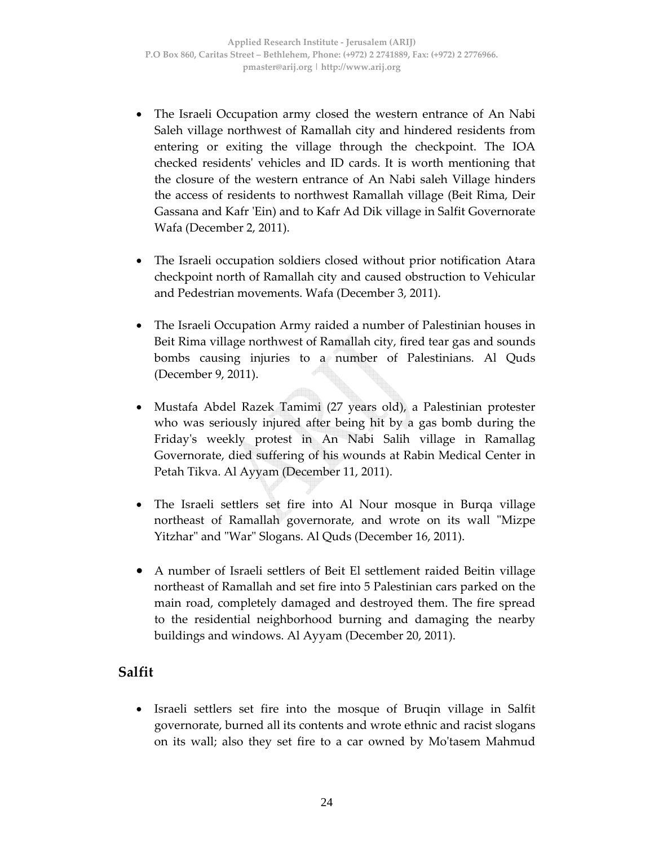- The Israeli Occupation army closed the western entrance of An Nabi Saleh village northwest of Ramallah city and hindered residents from entering or exiting the village through the checkpoint. The IOA checked residentsʹ vehicles and ID cards. It is worth mentioning that the closure of the western entrance of An Nabi saleh Village hinders the access of residents to northwest Ramallah village (Beit Rima, Deir Gassana and Kafr ʹEin) and to Kafr Ad Dik village in Salfit Governorate Wafa (December 2, 2011).
- The Israeli occupation soldiers closed without prior notification Atara checkpoint north of Ramallah city and caused obstruction to Vehicular and Pedestrian movements. Wafa (December 3, 2011).
- The Israeli Occupation Army raided a number of Palestinian houses in Beit Rima village northwest of Ramallah city, fired tear gas and sounds bombs causing injuries to a number of Palestinians. Al Quds (December 9, 2011).
- Mustafa Abdel Razek Tamimi (27 years old), a Palestinian protester who was seriously injured after being hit by a gas bomb during the Fridayʹs weekly protest in An Nabi Salih village in Ramallag Governorate, died suffering of his wounds at Rabin Medical Center in Petah Tikva. Al Ayyam (December 11, 2011).
- The Israeli settlers set fire into Al Nour mosque in Burqa village northeast of Ramallah governorate, and wrote on its wall "Mizpe Yitzhar" and "War" Slogans. Al Quds (December 16, 2011).
- A number of Israeli settlers of Beit El settlement raided Beitin village northeast of Ramallah and set fire into 5 Palestinian cars parked on the main road, completely damaged and destroyed them. The fire spread to the residential neighborhood burning and damaging the nearby buildings and windows. Al Ayyam (December 20, 2011).

#### **Salfit**

• Israeli settlers set fire into the mosque of Bruqin village in Salfit governorate, burned all its contents and wrote ethnic and racist slogans on its wall; also they set fire to a car owned by Moʹtasem Mahmud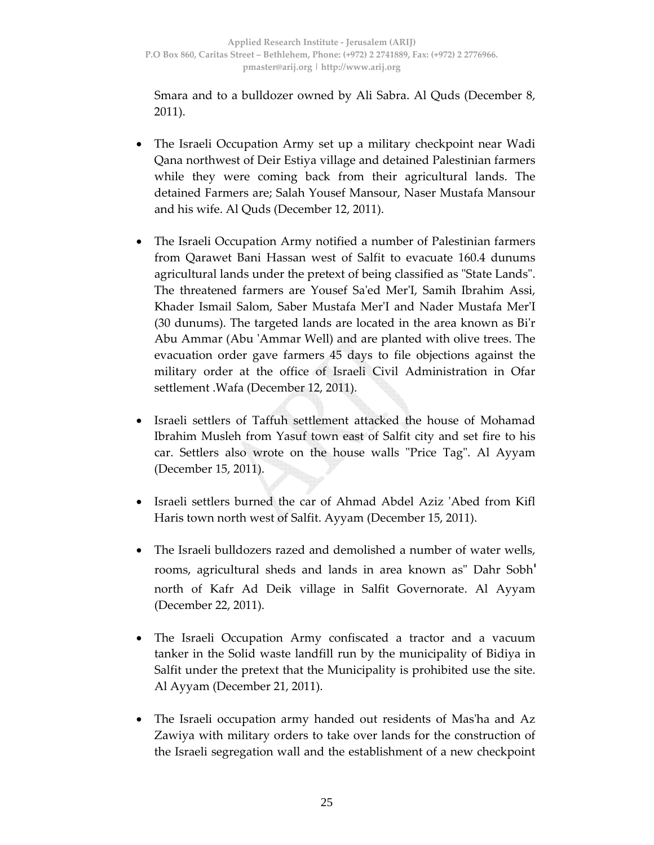Smara and to a bulldozer owned by Ali Sabra. Al Quds (December 8, 2011).

- The Israeli Occupation Army set up a military checkpoint near Wadi Qana northwest of Deir Estiya village and detained Palestinian farmers while they were coming back from their agricultural lands. The detained Farmers are; Salah Yousef Mansour, Naser Mustafa Mansour and his wife. Al Quds (December 12, 2011).
- The Israeli Occupation Army notified a number of Palestinian farmers from Qarawet Bani Hassan west of Salfit to evacuate 160.4 dunums agricultural lands under the pretext of being classified as "State Lands". The threatened farmers are Yousef Saʹed MerʹI, Samih Ibrahim Assi, Khader Ismail Salom, Saber Mustafa MerʹI and Nader Mustafa MerʹI (30 dunums). The targeted lands are located in the area known as Biʹr Abu Ammar (Abu ʹAmmar Well) and are planted with olive trees. The evacuation order gave farmers 45 days to file objections against the military order at the office of Israeli Civil Administration in Ofar settlement .Wafa (December 12, 2011).
- Israeli settlers of Taffuh settlement attacked the house of Mohamad Ibrahim Musleh from Yasuf town east of Salfit city and set fire to his car. Settlers also wrote on the house walls "Price Tag". Al Ayyam (December 15, 2011).
- Israeli settlers burned the car of Ahmad Abdel Aziz 'Abed from Kifl Haris town north west of Salfit. Ayyam (December 15, 2011).
- The Israeli bulldozers razed and demolished a number of water wells, rooms, agricultural sheds and lands in area known as" Dahr Sobh' north of Kafr Ad Deik village in Salfit Governorate. Al Ayyam (December 22, 2011).
- The Israeli Occupation Army confiscated a tractor and a vacuum tanker in the Solid waste landfill run by the municipality of Bidiya in Salfit under the pretext that the Municipality is prohibited use the site. Al Ayyam (December 21, 2011).
- The Israeli occupation army handed out residents of Masʹha and Az Zawiya with military orders to take over lands for the construction of the Israeli segregation wall and the establishment of a new checkpoint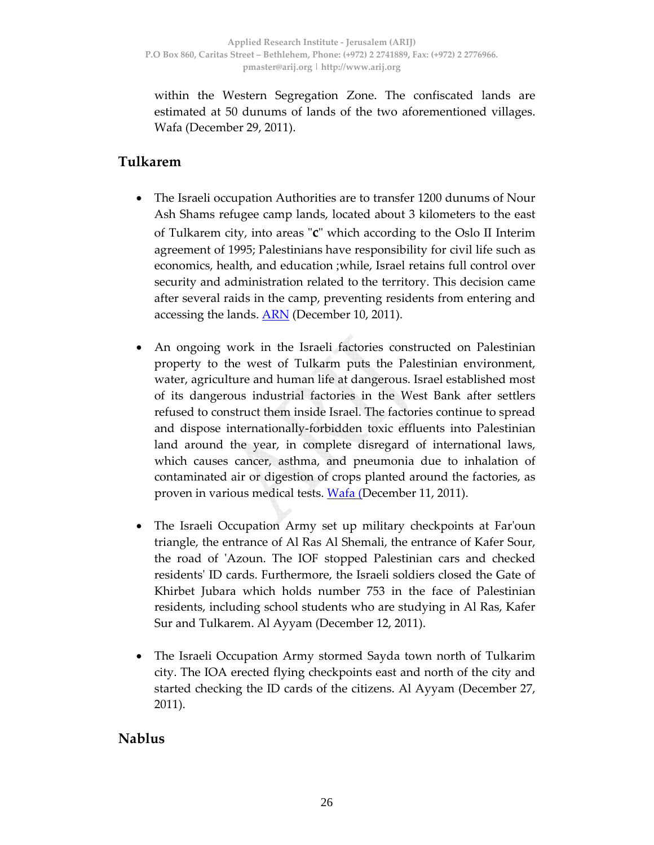within the Western Segregation Zone. The confiscated lands are estimated at 50 dunums of lands of the two aforementioned villages. Wafa (December 29, 2011).

## **Tulkarem**

- The Israeli occupation Authorities are to transfer 1200 dunums of Nour Ash Shams refugee camp lands, located about 3 kilometers to the east of Tulkarem city, into areas "**c**" which according to the Oslo II Interim agreement of 1995; Palestinians have responsibility for civil life such as economics, health, and education ;while, Israel retains full control over security and administration related to the territory. This decision came after several raids in the camp, preventing residents from entering and accessing the lands. **ARN** (December 10, 2011).
- An ongoing work in the Israeli factories constructed on Palestinian property to the west of Tulkarm puts the Palestinian environment, water, agriculture and human life at dangerous. Israel established most of its dangerous industrial factories in the West Bank after settlers refused to construct them inside Israel. The factories continue to spread and dispose internationally‐forbidden toxic effluents into Palestinian land around the year, in complete disregard of international laws, which causes cancer, asthma, and pneumonia due to inhalation of contaminated air or digestion of crops planted around the factories, as proven in various medical tests. Wafa (December 11, 2011).
- The Israeli Occupation Army set up military checkpoints at Farʹoun triangle, the entrance of Al Ras Al Shemali, the entrance of Kafer Sour, the road of ʹAzoun. The IOF stopped Palestinian cars and checked residentsʹ ID cards. Furthermore, the Israeli soldiers closed the Gate of Khirbet Jubara which holds number 753 in the face of Palestinian residents, including school students who are studying in Al Ras, Kafer Sur and Tulkarem. Al Ayyam (December 12, 2011).
- The Israeli Occupation Army stormed Sayda town north of Tulkarim city. The IOA erected flying checkpoints east and north of the city and started checking the ID cards of the citizens. Al Ayyam (December 27, 2011).

#### **Nablus**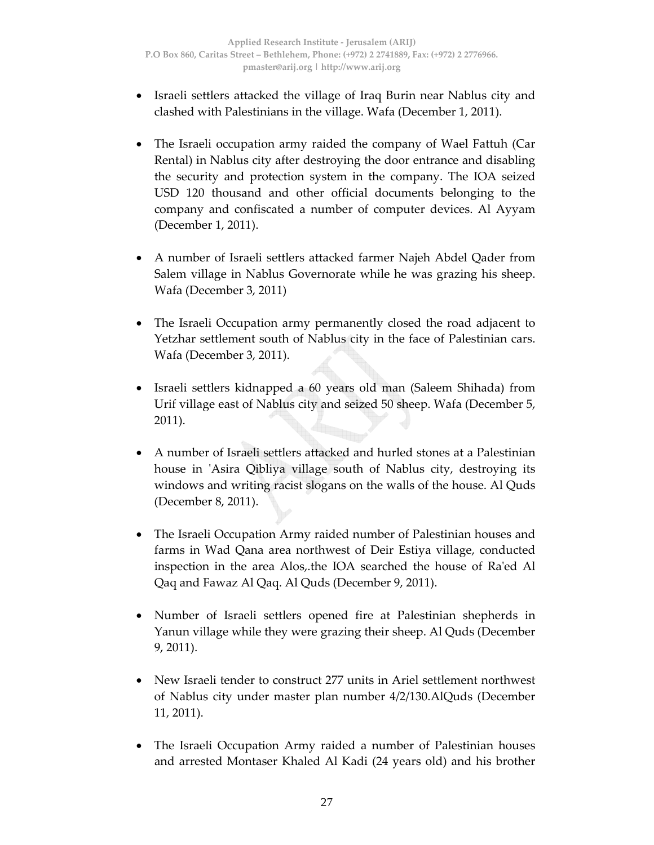- Israeli settlers attacked the village of Iraq Burin near Nablus city and clashed with Palestinians in the village. Wafa (December 1, 2011).
- The Israeli occupation army raided the company of Wael Fattuh (Car Rental) in Nablus city after destroying the door entrance and disabling the security and protection system in the company. The IOA seized USD 120 thousand and other official documents belonging to the company and confiscated a number of computer devices. Al Ayyam (December 1, 2011).
- A number of Israeli settlers attacked farmer Najeh Abdel Qader from Salem village in Nablus Governorate while he was grazing his sheep. Wafa (December 3, 2011)
- The Israeli Occupation army permanently closed the road adjacent to Yetzhar settlement south of Nablus city in the face of Palestinian cars. Wafa (December 3, 2011).
- Israeli settlers kidnapped a 60 years old man (Saleem Shihada) from Urif village east of Nablus city and seized 50 sheep. Wafa (December 5, 2011).
- A number of Israeli settlers attacked and hurled stones at a Palestinian house in 'Asira Qibliya village south of Nablus city, destroying its windows and writing racist slogans on the walls of the house. Al Quds (December 8, 2011).
- The Israeli Occupation Army raided number of Palestinian houses and farms in Wad Qana area northwest of Deir Estiya village, conducted inspection in the area Alos,.the IOA searched the house of Raʹed Al Qaq and Fawaz Al Qaq. Al Quds (December 9, 2011).
- Number of Israeli settlers opened fire at Palestinian shepherds in Yanun village while they were grazing their sheep. Al Quds (December 9, 2011).
- New Israeli tender to construct 277 units in Ariel settlement northwest of Nablus city under master plan number 4/2/130.AlQuds (December 11, 2011).
- The Israeli Occupation Army raided a number of Palestinian houses and arrested Montaser Khaled Al Kadi (24 years old) and his brother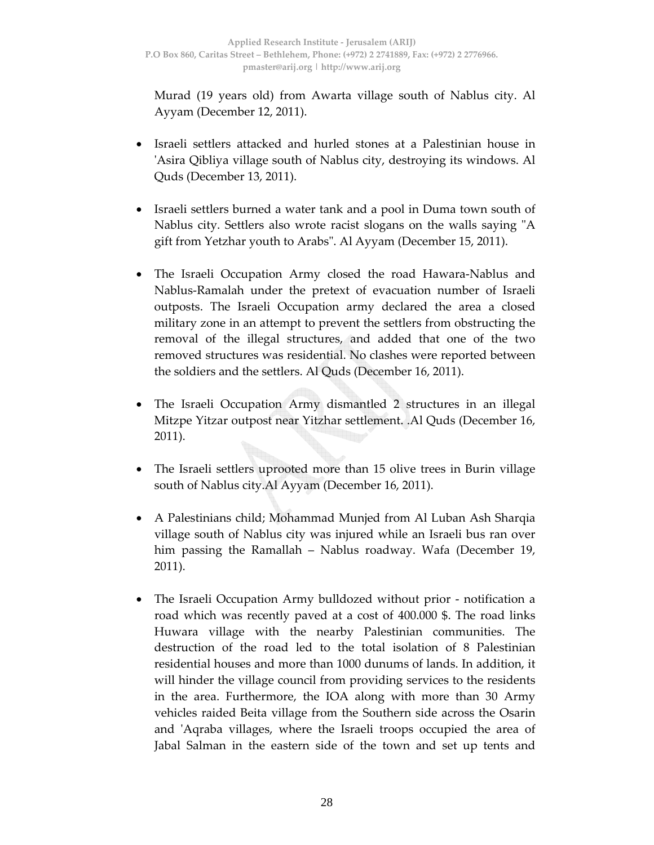Murad (19 years old) from Awarta village south of Nablus city. Al Ayyam (December 12, 2011).

- Israeli settlers attacked and hurled stones at a Palestinian house in ʹAsira Qibliya village south of Nablus city, destroying its windows. Al Quds (December 13, 2011).
- Israeli settlers burned a water tank and a pool in Duma town south of Nablus city. Settlers also wrote racist slogans on the walls saying "A gift from Yetzhar youth to Arabs". Al Ayyam (December 15, 2011).
- The Israeli Occupation Army closed the road Hawara-Nablus and Nablus‐Ramalah under the pretext of evacuation number of Israeli outposts. The Israeli Occupation army declared the area a closed military zone in an attempt to prevent the settlers from obstructing the removal of the illegal structures, and added that one of the two removed structures was residential. No clashes were reported between the soldiers and the settlers. Al Quds (December 16, 2011).
- The Israeli Occupation Army dismantled 2 structures in an illegal Mitzpe Yitzar outpost near Yitzhar settlement. .Al Quds (December 16, 2011).
- The Israeli settlers uprooted more than 15 olive trees in Burin village south of Nablus city.Al Ayyam (December 16, 2011).
- A Palestinians child; Mohammad Munjed from Al Luban Ash Sharqia village south of Nablus city was injured while an Israeli bus ran over him passing the Ramallah – Nablus roadway. Wafa (December 19, 2011).
- The Israeli Occupation Army bulldozed without prior ‐ notification a road which was recently paved at a cost of 400.000 \$. The road links Huwara village with the nearby Palestinian communities. The destruction of the road led to the total isolation of 8 Palestinian residential houses and more than 1000 dunums of lands. In addition, it will hinder the village council from providing services to the residents in the area. Furthermore, the IOA along with more than 30 Army vehicles raided Beita village from the Southern side across the Osarin and ʹAqraba villages, where the Israeli troops occupied the area of Jabal Salman in the eastern side of the town and set up tents and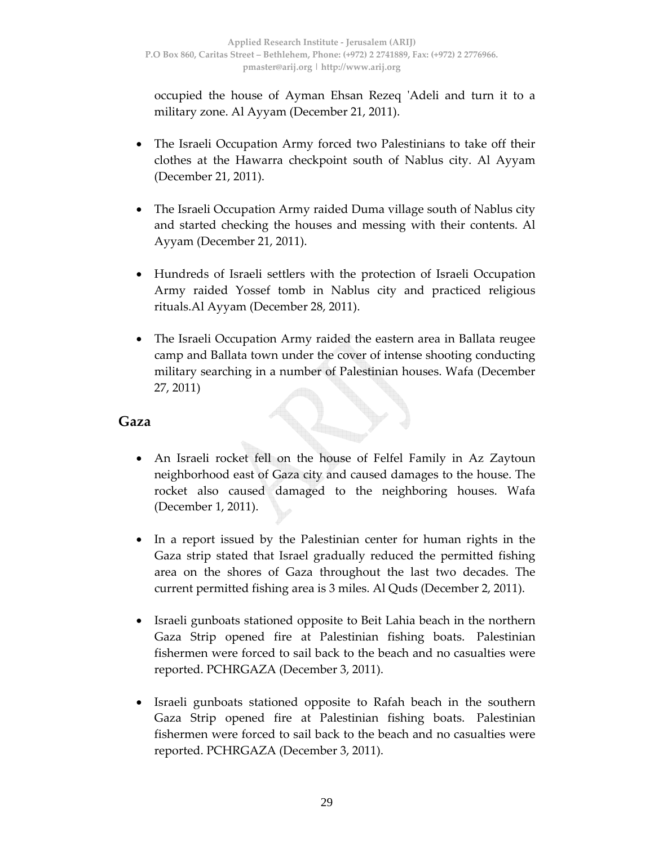occupied the house of Ayman Ehsan Rezeq ʹAdeli and turn it to a military zone. Al Ayyam (December 21, 2011).

- The Israeli Occupation Army forced two Palestinians to take off their clothes at the Hawarra checkpoint south of Nablus city. Al Ayyam (December 21, 2011).
- The Israeli Occupation Army raided Duma village south of Nablus city and started checking the houses and messing with their contents. Al Ayyam (December 21, 2011).
- Hundreds of Israeli settlers with the protection of Israeli Occupation Army raided Yossef tomb in Nablus city and practiced religious rituals.Al Ayyam (December 28, 2011).
- The Israeli Occupation Army raided the eastern area in Ballata reugee camp and Ballata town under the cover of intense shooting conducting military searching in a number of Palestinian houses. Wafa (December 27, 2011)

#### **Gaza**

- An Israeli rocket fell on the house of Felfel Family in Az Zaytoun neighborhood east of Gaza city and caused damages to the house. The rocket also caused damaged to the neighboring houses. Wafa (December 1, 2011).
- In a report issued by the Palestinian center for human rights in the Gaza strip stated that Israel gradually reduced the permitted fishing area on the shores of Gaza throughout the last two decades. The current permitted fishing area is 3 miles. Al Quds (December 2, 2011).
- Israeli gunboats stationed opposite to Beit Lahia beach in the northern Gaza Strip opened fire at Palestinian fishing boats. Palestinian fishermen were forced to sail back to the beach and no casualties were reported. PCHRGAZA (December 3, 2011).
- Israeli gunboats stationed opposite to Rafah beach in the southern Gaza Strip opened fire at Palestinian fishing boats. Palestinian fishermen were forced to sail back to the beach and no casualties were reported. PCHRGAZA (December 3, 2011).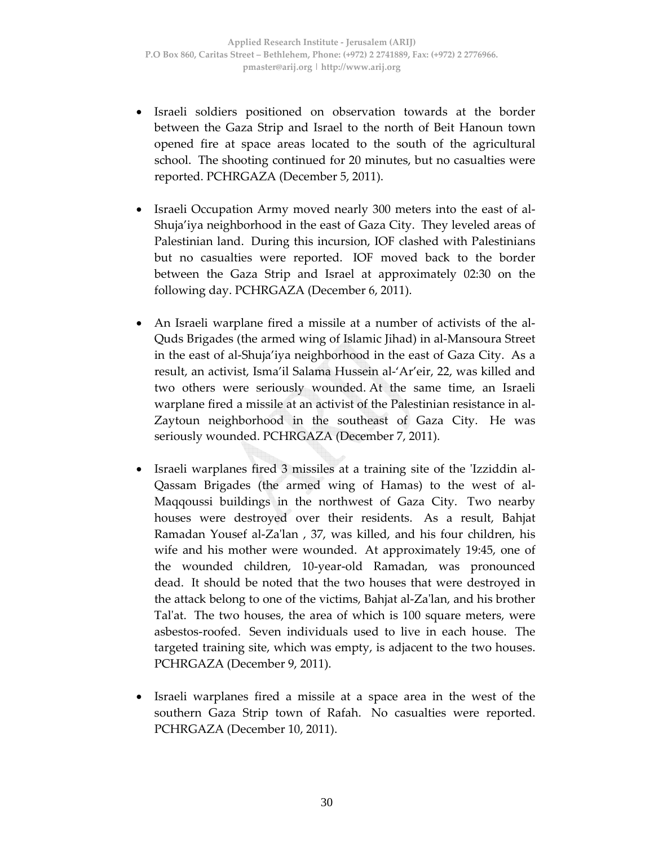- Israeli soldiers positioned on observation towards at the border between the Gaza Strip and Israel to the north of Beit Hanoun town opened fire at space areas located to the south of the agricultural school. The shooting continued for 20 minutes, but no casualties were reported. PCHRGAZA (December 5, 2011).
- Israeli Occupation Army moved nearly 300 meters into the east of al-Shuja'iya neighborhood in the east of Gaza City. They leveled areas of Palestinian land. During this incursion, IOF clashed with Palestinians but no casualties were reported. IOF moved back to the border between the Gaza Strip and Israel at approximately 02:30 on the following day. PCHRGAZA (December 6, 2011).
- An Israeli warplane fired a missile at a number of activists of the al‐ Quds Brigades (the armed wing of Islamic Jihad) in al‐Mansoura Street in the east of al‐Shuja'iya neighborhood in the east of Gaza City. As a result, an activist, Isma'il Salama Hussein al‐'Ar'eir, 22, was killed and two others were seriously wounded. At the same time, an Israeli warplane fired a missile at an activist of the Palestinian resistance in al‐ Zaytoun neighborhood in the southeast of Gaza City. He was seriously wounded. PCHRGAZA (December 7, 2011).
- Israeli warplanes fired 3 missiles at a training site of the 'Izziddin al-Qassam Brigades (the armed wing of Hamas) to the west of al‐ Maqqoussi buildings in the northwest of Gaza City. Two nearby houses were destroyed over their residents. As a result, Bahjat Ramadan Yousef al‐Zaʹlan , 37, was killed, and his four children, his wife and his mother were wounded. At approximately 19:45, one of the wounded children, 10‐year‐old Ramadan, was pronounced dead. It should be noted that the two houses that were destroyed in the attack belong to one of the victims, Bahjat al‐Zaʹlan, and his brother Tal'at. The two houses, the area of which is 100 square meters, were asbestos‐roofed. Seven individuals used to live in each house. The targeted training site, which was empty, is adjacent to the two houses. PCHRGAZA (December 9, 2011).
- Israeli warplanes fired a missile at a space area in the west of the southern Gaza Strip town of Rafah. No casualties were reported. PCHRGAZA (December 10, 2011).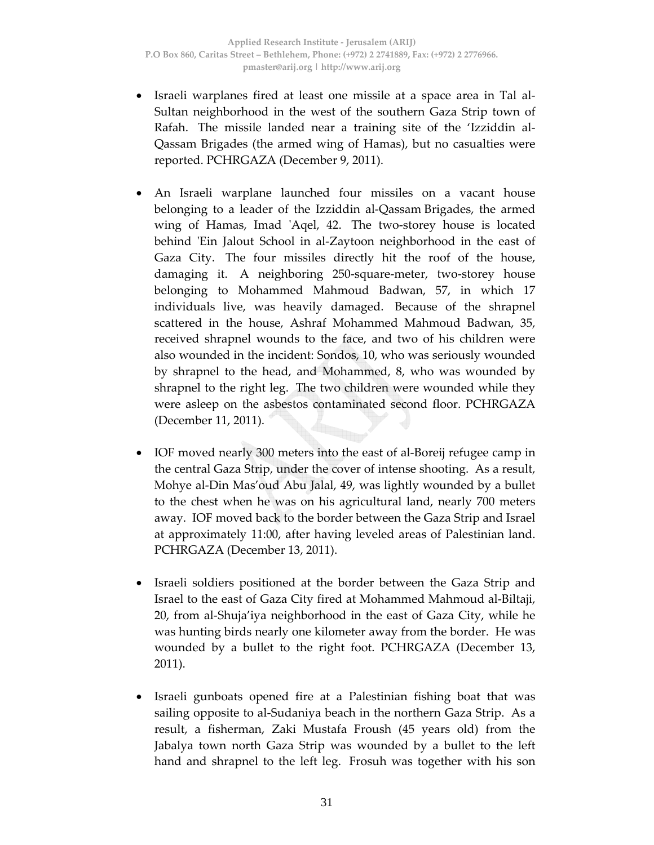- Israeli warplanes fired at least one missile at a space area in Tal al‐ Sultan neighborhood in the west of the southern Gaza Strip town of Rafah. The missile landed near a training site of the 'Izziddin al‐ Qassam Brigades (the armed wing of Hamas), but no casualties were reported. PCHRGAZA (December 9, 2011).
- An Israeli warplane launched four missiles on a vacant house belonging to a leader of the Izziddin al‐Qassam Brigades, the armed wing of Hamas, Imad 'Aqel, 42. The two-storey house is located behind 'Ein Jalout School in al-Zaytoon neighborhood in the east of Gaza City. The four missiles directly hit the roof of the house, damaging it. A neighboring 250‐square‐meter, two‐storey house belonging to Mohammed Mahmoud Badwan, 57, in which 17 individuals live, was heavily damaged. Because of the shrapnel scattered in the house, Ashraf Mohammed Mahmoud Badwan, 35, received shrapnel wounds to the face, and two of his children were also wounded in the incident: Sondos, 10, who was seriously wounded by shrapnel to the head, and Mohammed, 8, who was wounded by shrapnel to the right leg. The two children were wounded while they were asleep on the asbestos contaminated second floor. PCHRGAZA (December 11, 2011).
- IOF moved nearly 300 meters into the east of al‐Boreij refugee camp in the central Gaza Strip, under the cover of intense shooting. As a result, Mohye al‐Din Mas'oud Abu Jalal, 49, was lightly wounded by a bullet to the chest when he was on his agricultural land, nearly 700 meters away. IOF moved back to the border between the Gaza Strip and Israel at approximately 11:00, after having leveled areas of Palestinian land. PCHRGAZA (December 13, 2011).
- Israeli soldiers positioned at the border between the Gaza Strip and Israel to the east of Gaza City fired at Mohammed Mahmoud al‐Biltaji, 20, from al‐Shuja'iya neighborhood in the east of Gaza City, while he was hunting birds nearly one kilometer away from the border. He was wounded by a bullet to the right foot. PCHRGAZA (December 13, 2011).
- Israeli gunboats opened fire at a Palestinian fishing boat that was sailing opposite to al‐Sudaniya beach in the northern Gaza Strip. As a result, a fisherman, Zaki Mustafa Froush (45 years old) from the Jabalya town north Gaza Strip was wounded by a bullet to the left hand and shrapnel to the left leg. Frosuh was together with his son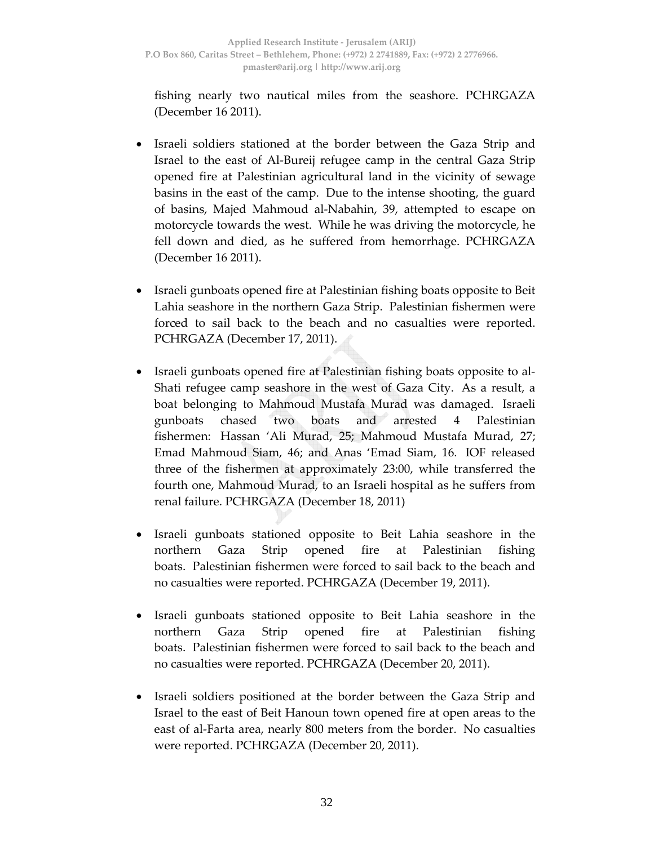fishing nearly two nautical miles from the seashore. PCHRGAZA (December 16 2011).

- Israeli soldiers stationed at the border between the Gaza Strip and Israel to the east of Al‐Bureij refugee camp in the central Gaza Strip opened fire at Palestinian agricultural land in the vicinity of sewage basins in the east of the camp. Due to the intense shooting, the guard of basins, Majed Mahmoud al‐Nabahin, 39, attempted to escape on motorcycle towards the west. While he was driving the motorcycle, he fell down and died, as he suffered from hemorrhage. PCHRGAZA (December 16 2011).
- Israeli gunboats opened fire at Palestinian fishing boats opposite to Beit Lahia seashore in the northern Gaza Strip. Palestinian fishermen were forced to sail back to the beach and no casualties were reported. PCHRGAZA (December 17, 2011).
- Israeli gunboats opened fire at Palestinian fishing boats opposite to al‐ Shati refugee camp seashore in the west of Gaza City. As a result, a boat belonging to Mahmoud Mustafa Murad was damaged. Israeli gunboats chased two boats and arrested 4 Palestinian fishermen: Hassan 'Ali Murad, 25; Mahmoud Mustafa Murad, 27; Emad Mahmoud Siam, 46; and Anas 'Emad Siam, 16. IOF released three of the fishermen at approximately 23:00, while transferred the fourth one, Mahmoud Murad, to an Israeli hospital as he suffers from renal failure. PCHRGAZA (December 18, 2011)
- Israeli gunboats stationed opposite to Beit Lahia seashore in the northern Gaza Strip opened fire at Palestinian fishing boats. Palestinian fishermen were forced to sail back to the beach and no casualties were reported. PCHRGAZA (December 19, 2011).
- Israeli gunboats stationed opposite to Beit Lahia seashore in the northern Gaza Strip opened fire at Palestinian fishing boats. Palestinian fishermen were forced to sail back to the beach and no casualties were reported. PCHRGAZA (December 20, 2011).
- Israeli soldiers positioned at the border between the Gaza Strip and Israel to the east of Beit Hanoun town opened fire at open areas to the east of al‐Farta area, nearly 800 meters from the border. No casualties were reported. PCHRGAZA (December 20, 2011).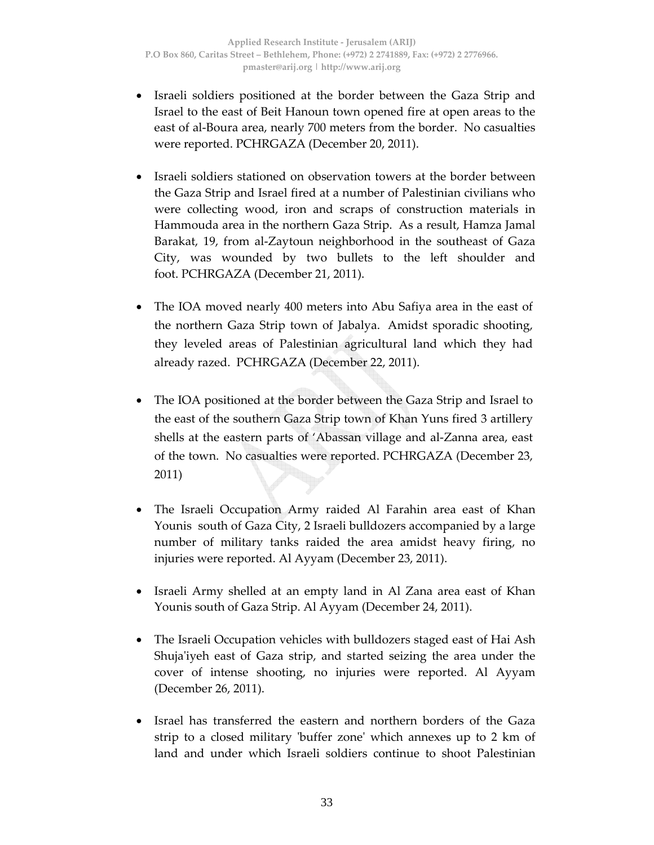- Israeli soldiers positioned at the border between the Gaza Strip and Israel to the east of Beit Hanoun town opened fire at open areas to the east of al‐Boura area, nearly 700 meters from the border. No casualties were reported. PCHRGAZA (December 20, 2011).
- Israeli soldiers stationed on observation towers at the border between the Gaza Strip and Israel fired at a number of Palestinian civilians who were collecting wood, iron and scraps of construction materials in Hammouda area in the northern Gaza Strip. As a result, Hamza Jamal Barakat, 19, from al‐Zaytoun neighborhood in the southeast of Gaza City, was wounded by two bullets to the left shoulder and foot. PCHRGAZA (December 21, 2011).
- The IOA moved nearly 400 meters into Abu Safiya area in the east of the northern Gaza Strip town of Jabalya. Amidst sporadic shooting, they leveled areas of Palestinian agricultural land which they had already razed. PCHRGAZA (December 22, 2011).
- The IOA positioned at the border between the Gaza Strip and Israel to the east of the southern Gaza Strip town of Khan Yuns fired 3 artillery shells at the eastern parts of 'Abassan village and al‐Zanna area, east of the town. No casualties were reported. PCHRGAZA (December 23, 2011)
- The Israeli Occupation Army raided Al Farahin area east of Khan Younis south of Gaza City, 2 Israeli bulldozers accompanied by a large number of military tanks raided the area amidst heavy firing, no injuries were reported. Al Ayyam (December 23, 2011).
- Israeli Army shelled at an empty land in Al Zana area east of Khan Younis south of Gaza Strip. Al Ayyam (December 24, 2011).
- The Israeli Occupation vehicles with bulldozers staged east of Hai Ash Shuja'iyeh east of Gaza strip, and started seizing the area under the cover of intense shooting, no injuries were reported. Al Ayyam (December 26, 2011).
- Israel has transferred the eastern and northern borders of the Gaza strip to a closed military 'buffer zone' which annexes up to 2 km of land and under which Israeli soldiers continue to shoot Palestinian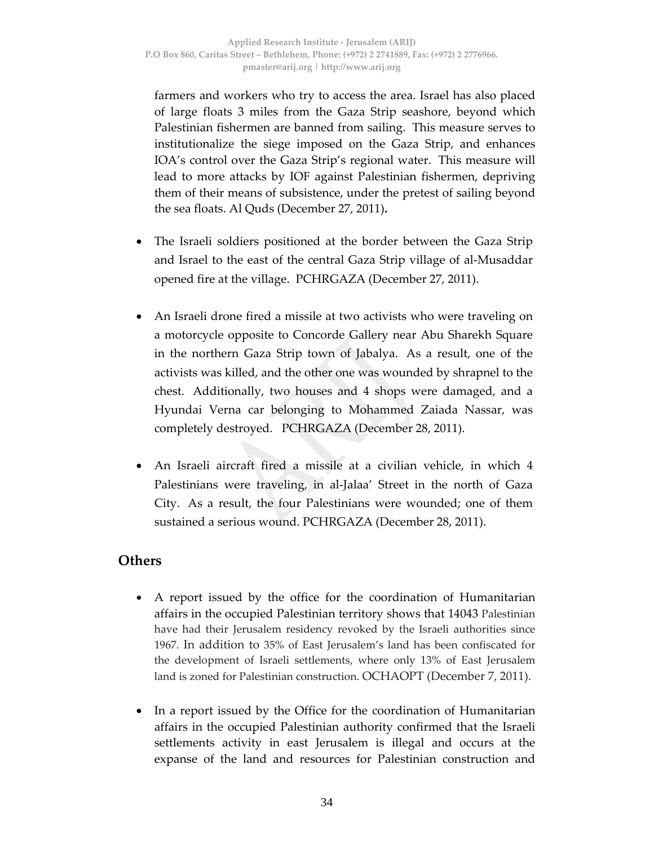farmers and workers who try to access the area. Israel has also placed of large floats 3 miles from the Gaza Strip seashore, beyond which Palestinian fishermen are banned from sailing. This measure serves to institutionalize the siege imposed on the Gaza Strip, and enhances IOA's control over the Gaza Strip's regional water. This measure will lead to more attacks by IOF against Palestinian fishermen, depriving them of their means of subsistence, under the pretest of sailing beyond the sea floats. Al Quds (December 27, 2011)**.**

- The Israeli soldiers positioned at the border between the Gaza Strip and Israel to the east of the central Gaza Strip village of al‐Musaddar opened fire at the village. PCHRGAZA (December 27, 2011).
- An Israeli drone fired a missile at two activists who were traveling on a motorcycle opposite to Concorde Gallery near Abu Sharekh Square in the northern Gaza Strip town of Jabalya. As a result, one of the activists was killed, and the other one was wounded by shrapnel to the chest. Additionally, two houses and 4 shops were damaged, and a Hyundai Verna car belonging to Mohammed Zaiada Nassar, was completely destroyed. PCHRGAZA (December 28, 2011).
- An Israeli aircraft fired a missile at a civilian vehicle, in which 4 Palestinians were traveling, in al‐Jalaa' Street in the north of Gaza City. As a result, the four Palestinians were wounded; one of them sustained a serious wound. PCHRGAZA (December 28, 2011).

### **Others**

- A report issued by the office for the coordination of Humanitarian affairs in the occupied Palestinian territory shows that 14043 Palestinian have had their Jerusalem residency revoked by the Israeli authorities since 1967. In addition to 35% of East Jerusalem's land has been confiscated for the development of Israeli settlements, where only 13% of East Jerusalem land is zoned for Palestinian construction. OCHAOPT (December 7, 2011).
- In a report issued by the Office for the coordination of Humanitarian affairs in the occupied Palestinian authority confirmed that the Israeli settlements activity in east Jerusalem is illegal and occurs at the expanse of the land and resources for Palestinian construction and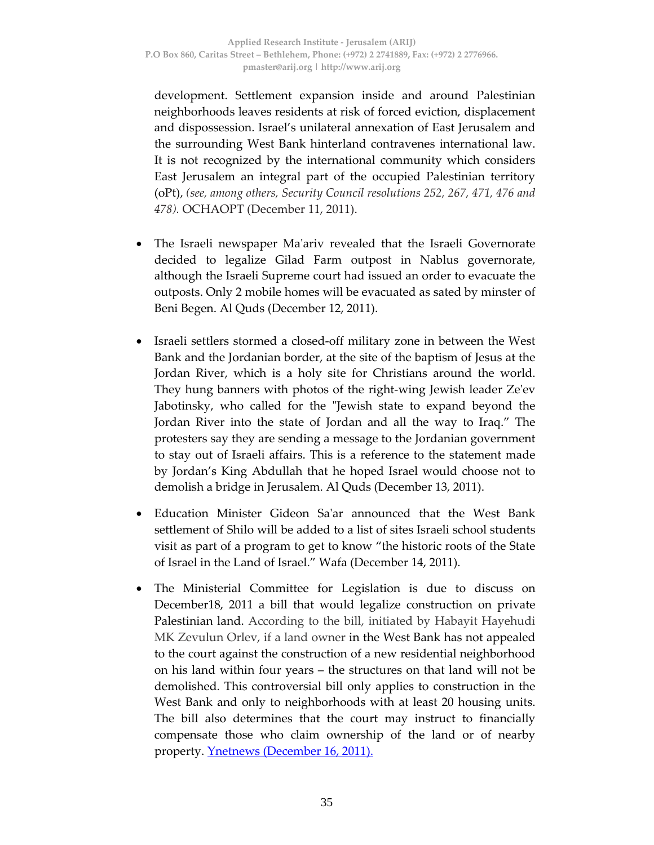development. Settlement expansion inside and around Palestinian neighborhoods leaves residents at risk of forced eviction, displacement and dispossession. Israel's unilateral annexation of East Jerusalem and the surrounding West Bank hinterland contravenes international law. It is not recognized by the international community which considers East Jerusalem an integral part of the occupied Palestinian territory (oPt), *(see, among others, Security Council resolutions 252, 267, 471, 476 and 478).* OCHAOPT (December 11, 2011).

- The Israeli newspaper Ma'ariv revealed that the Israeli Governorate decided to legalize Gilad Farm outpost in Nablus governorate, although the Israeli Supreme court had issued an order to evacuate the outposts. Only 2 mobile homes will be evacuated as sated by minster of Beni Begen. Al Quds (December 12, 2011).
- Israeli settlers stormed a closed‐off military zone in between the West Bank and the Jordanian border, at the site of the baptism of Jesus at the Jordan River, which is a holy site for Christians around the world. They hung banners with photos of the right‐wing Jewish leader Zeʹev Jabotinsky, who called for the "Jewish state to expand beyond the Jordan River into the state of Jordan and all the way to Iraq." The protesters say they are sending a message to the Jordanian government to stay out of Israeli affairs. This is a reference to the statement made by Jordan's King Abdullah that he hoped Israel would choose not to demolish a bridge in Jerusalem. Al Quds (December 13, 2011).
- Education Minister Gideon Saʹar announced that the West Bank settlement of Shilo will be added to a list of sites Israeli school students visit as part of a program to get to know "the historic roots of the State of Israel in the Land of Israel." Wafa (December 14, 2011).
- The Ministerial Committee for Legislation is due to discuss on December18, 2011 a bill that would legalize construction on private Palestinian land. According to the bill, initiated by Habayit Hayehudi MK Zevulun Orlev, if a land owner in the West Bank has not appealed to the court against the construction of a new residential neighborhood on his land within four years – the structures on that land will not be demolished. This controversial bill only applies to construction in the West Bank and only to neighborhoods with at least 20 housing units. The bill also determines that the court may instruct to financially compensate those who claim ownership of the land or of nearby property. **Ynetnews** (December 16, 2011).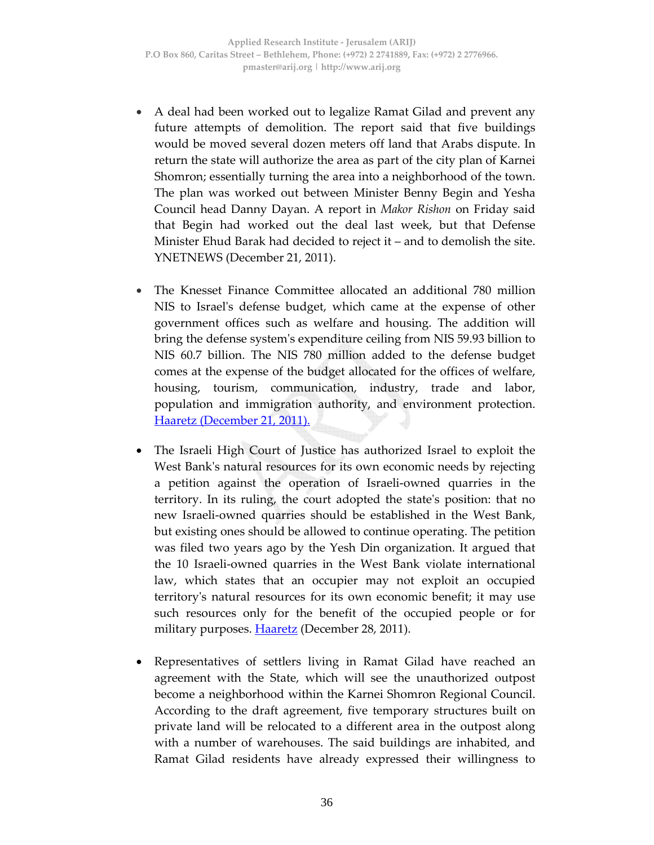- A deal had been worked out to legalize Ramat Gilad and prevent any future attempts of demolition. The report said that five buildings would be moved several dozen meters off land that Arabs dispute. In return the state will authorize the area as part of the city plan of Karnei Shomron; essentially turning the area into a neighborhood of the town. The plan was worked out between Minister Benny Begin and Yesha Council head Danny Dayan. A report in *Makor Rishon* on Friday said that Begin had worked out the deal last week, but that Defense Minister Ehud Barak had decided to reject it – and to demolish the site. YNETNEWS (December 21, 2011).
- The Knesset Finance Committee allocated an additional 780 million NIS to Israel's defense budget, which came at the expense of other government offices such as welfare and housing. The addition will bring the defense systemʹs expenditure ceiling from NIS 59.93 billion to NIS 60.7 billion. The NIS 780 million added to the defense budget comes at the expense of the budget allocated for the offices of welfare, housing, tourism, communication, industry, trade and labor, population and immigration authority, and environment protection. Haaretz (December 21, 2011).
- The Israeli High Court of Justice has authorized Israel to exploit the West Bank's natural resources for its own economic needs by rejecting a petition against the operation of Israeli‐owned quarries in the territory. In its ruling, the court adopted the stateʹs position: that no new Israeli‐owned quarries should be established in the West Bank, but existing ones should be allowed to continue operating. The petition was filed two years ago by the Yesh Din organization. It argued that the 10 Israeli‐owned quarries in the West Bank violate international law, which states that an occupier may not exploit an occupied territoryʹs natural resources for its own economic benefit; it may use such resources only for the benefit of the occupied people or for military purposes. **Haaretz** (December 28, 2011).
- Representatives of settlers living in Ramat Gilad have reached an agreement with the State, which will see the unauthorized outpost become a neighborhood within the Karnei Shomron Regional Council. According to the draft agreement, five temporary structures built on private land will be relocated to a different area in the outpost along with a number of warehouses. The said buildings are inhabited, and Ramat Gilad residents have already expressed their willingness to